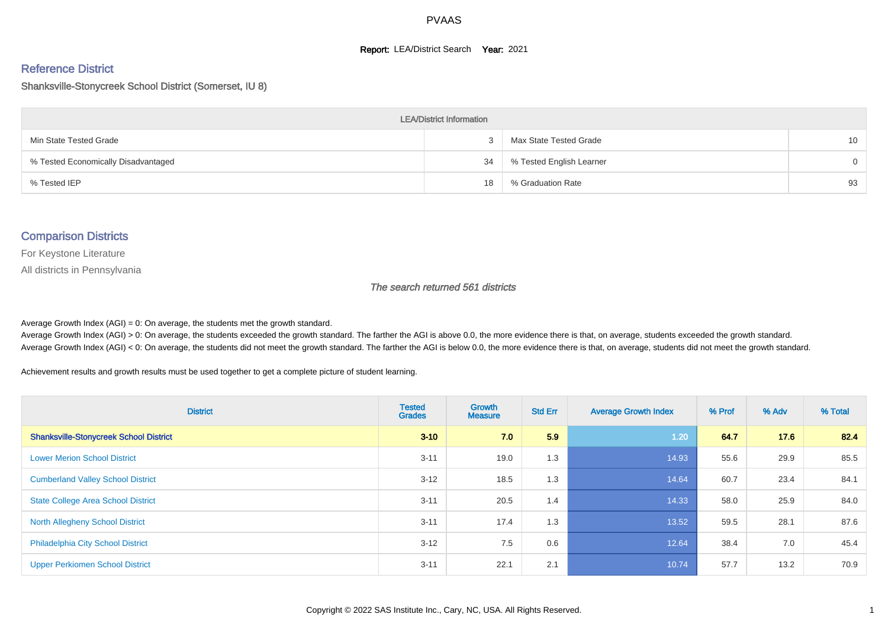#### **Report: LEA/District Search Year: 2021**

# Reference District

#### Shanksville-Stonycreek School District (Somerset, IU 8)

| <b>LEA/District Information</b>     |    |                          |          |  |  |  |  |  |  |  |
|-------------------------------------|----|--------------------------|----------|--|--|--|--|--|--|--|
| Min State Tested Grade              |    | Max State Tested Grade   | 10       |  |  |  |  |  |  |  |
| % Tested Economically Disadvantaged | 34 | % Tested English Learner | $\Omega$ |  |  |  |  |  |  |  |
| % Tested IEP                        | 18 | % Graduation Rate        | 93       |  |  |  |  |  |  |  |

#### Comparison Districts

For Keystone Literature

All districts in Pennsylvania

The search returned 561 districts

Average Growth Index  $(AGI) = 0$ : On average, the students met the growth standard.

Average Growth Index (AGI) > 0: On average, the students exceeded the growth standard. The farther the AGI is above 0.0, the more evidence there is that, on average, students exceeded the growth standard. Average Growth Index (AGI) < 0: On average, the students did not meet the growth standard. The farther the AGI is below 0.0, the more evidence there is that, on average, students did not meet the growth standard.

Achievement results and growth results must be used together to get a complete picture of student learning.

| <b>District</b>                               | <b>Tested</b><br><b>Grades</b> | <b>Growth</b><br><b>Measure</b> | <b>Std Err</b> | <b>Average Growth Index</b> | % Prof | % Adv | % Total |
|-----------------------------------------------|--------------------------------|---------------------------------|----------------|-----------------------------|--------|-------|---------|
| <b>Shanksville-Stonycreek School District</b> | $3 - 10$                       | 7.0                             | 5.9            | 1.20                        | 64.7   | 17.6  | 82.4    |
| <b>Lower Merion School District</b>           | $3 - 11$                       | 19.0                            | 1.3            | 14.93                       | 55.6   | 29.9  | 85.5    |
| <b>Cumberland Valley School District</b>      | $3 - 12$                       | 18.5                            | 1.3            | 14.64                       | 60.7   | 23.4  | 84.1    |
| <b>State College Area School District</b>     | $3 - 11$                       | 20.5                            | 1.4            | 14.33                       | 58.0   | 25.9  | 84.0    |
| <b>North Allegheny School District</b>        | $3 - 11$                       | 17.4                            | 1.3            | 13.52                       | 59.5   | 28.1  | 87.6    |
| <b>Philadelphia City School District</b>      | $3 - 12$                       | 7.5                             | 0.6            | 12.64                       | 38.4   | 7.0   | 45.4    |
| <b>Upper Perkiomen School District</b>        | $3 - 11$                       | 22.1                            | 2.1            | 10.74                       | 57.7   | 13.2  | 70.9    |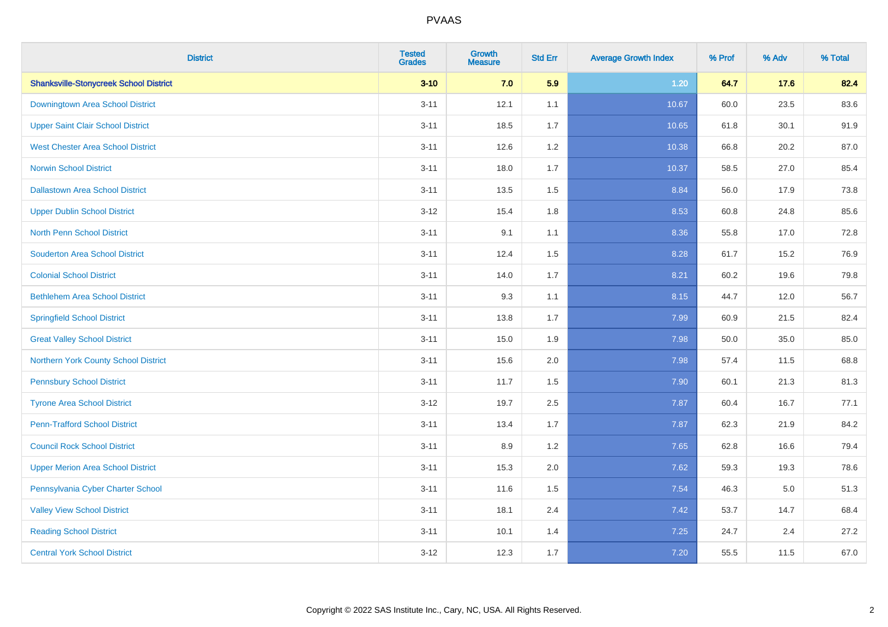| <b>District</b>                               | <b>Tested</b><br><b>Grades</b> | <b>Growth</b><br><b>Measure</b> | <b>Std Err</b> | <b>Average Growth Index</b> | % Prof | % Adv   | % Total |
|-----------------------------------------------|--------------------------------|---------------------------------|----------------|-----------------------------|--------|---------|---------|
| <b>Shanksville-Stonycreek School District</b> | $3 - 10$                       | 7.0                             | 5.9            | $1.20$                      | 64.7   | 17.6    | 82.4    |
| Downingtown Area School District              | $3 - 11$                       | 12.1                            | 1.1            | 10.67                       | 60.0   | 23.5    | 83.6    |
| <b>Upper Saint Clair School District</b>      | $3 - 11$                       | 18.5                            | 1.7            | 10.65                       | 61.8   | 30.1    | 91.9    |
| <b>West Chester Area School District</b>      | $3 - 11$                       | 12.6                            | 1.2            | 10.38                       | 66.8   | 20.2    | 87.0    |
| <b>Norwin School District</b>                 | $3 - 11$                       | 18.0                            | 1.7            | 10.37                       | 58.5   | 27.0    | 85.4    |
| <b>Dallastown Area School District</b>        | $3 - 11$                       | 13.5                            | 1.5            | 8.84                        | 56.0   | 17.9    | 73.8    |
| <b>Upper Dublin School District</b>           | $3 - 12$                       | 15.4                            | 1.8            | 8.53                        | 60.8   | 24.8    | 85.6    |
| <b>North Penn School District</b>             | $3 - 11$                       | 9.1                             | 1.1            | 8.36                        | 55.8   | 17.0    | 72.8    |
| <b>Souderton Area School District</b>         | $3 - 11$                       | 12.4                            | 1.5            | 8.28                        | 61.7   | 15.2    | 76.9    |
| <b>Colonial School District</b>               | $3 - 11$                       | 14.0                            | 1.7            | 8.21                        | 60.2   | 19.6    | 79.8    |
| <b>Bethlehem Area School District</b>         | $3 - 11$                       | 9.3                             | 1.1            | 8.15                        | 44.7   | 12.0    | 56.7    |
| <b>Springfield School District</b>            | $3 - 11$                       | 13.8                            | 1.7            | 7.99                        | 60.9   | 21.5    | 82.4    |
| <b>Great Valley School District</b>           | $3 - 11$                       | 15.0                            | 1.9            | 7.98                        | 50.0   | 35.0    | 85.0    |
| Northern York County School District          | $3 - 11$                       | 15.6                            | 2.0            | 7.98                        | 57.4   | 11.5    | 68.8    |
| <b>Pennsbury School District</b>              | $3 - 11$                       | 11.7                            | 1.5            | 7.90                        | 60.1   | 21.3    | 81.3    |
| <b>Tyrone Area School District</b>            | $3 - 12$                       | 19.7                            | 2.5            | 7.87                        | 60.4   | 16.7    | 77.1    |
| <b>Penn-Trafford School District</b>          | $3 - 11$                       | 13.4                            | 1.7            | 7.87                        | 62.3   | 21.9    | 84.2    |
| <b>Council Rock School District</b>           | $3 - 11$                       | 8.9                             | 1.2            | 7.65                        | 62.8   | 16.6    | 79.4    |
| <b>Upper Merion Area School District</b>      | $3 - 11$                       | 15.3                            | 2.0            | 7.62                        | 59.3   | 19.3    | 78.6    |
| Pennsylvania Cyber Charter School             | $3 - 11$                       | 11.6                            | 1.5            | 7.54                        | 46.3   | $5.0\,$ | 51.3    |
| <b>Valley View School District</b>            | $3 - 11$                       | 18.1                            | 2.4            | 7.42                        | 53.7   | 14.7    | 68.4    |
| <b>Reading School District</b>                | $3 - 11$                       | 10.1                            | 1.4            | 7.25                        | 24.7   | 2.4     | 27.2    |
| <b>Central York School District</b>           | $3 - 12$                       | 12.3                            | 1.7            | 7.20                        | 55.5   | 11.5    | 67.0    |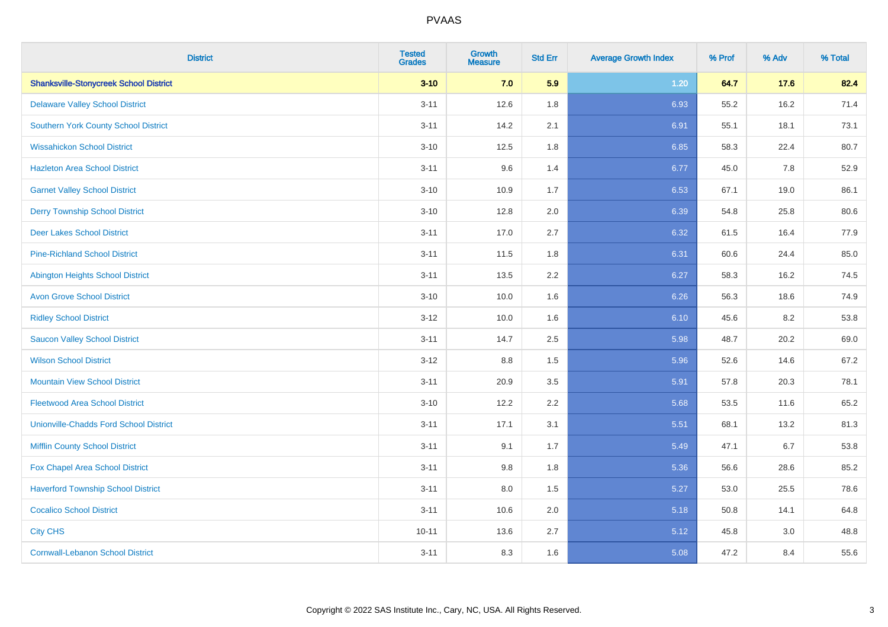| <b>District</b>                               | <b>Tested</b><br><b>Grades</b> | <b>Growth</b><br><b>Measure</b> | <b>Std Err</b> | <b>Average Growth Index</b> | % Prof | % Adv | % Total |
|-----------------------------------------------|--------------------------------|---------------------------------|----------------|-----------------------------|--------|-------|---------|
| <b>Shanksville-Stonycreek School District</b> | $3 - 10$                       | 7.0                             | 5.9            | $1.20$                      | 64.7   | 17.6  | 82.4    |
| <b>Delaware Valley School District</b>        | $3 - 11$                       | 12.6                            | 1.8            | 6.93                        | 55.2   | 16.2  | 71.4    |
| <b>Southern York County School District</b>   | $3 - 11$                       | 14.2                            | 2.1            | 6.91                        | 55.1   | 18.1  | 73.1    |
| <b>Wissahickon School District</b>            | $3 - 10$                       | 12.5                            | 1.8            | 6.85                        | 58.3   | 22.4  | 80.7    |
| <b>Hazleton Area School District</b>          | $3 - 11$                       | 9.6                             | 1.4            | 6.77                        | 45.0   | 7.8   | 52.9    |
| <b>Garnet Valley School District</b>          | $3 - 10$                       | 10.9                            | 1.7            | 6.53                        | 67.1   | 19.0  | 86.1    |
| <b>Derry Township School District</b>         | $3 - 10$                       | 12.8                            | 2.0            | 6.39                        | 54.8   | 25.8  | 80.6    |
| <b>Deer Lakes School District</b>             | $3 - 11$                       | 17.0                            | 2.7            | 6.32                        | 61.5   | 16.4  | 77.9    |
| <b>Pine-Richland School District</b>          | $3 - 11$                       | 11.5                            | 1.8            | 6.31                        | 60.6   | 24.4  | 85.0    |
| <b>Abington Heights School District</b>       | $3 - 11$                       | 13.5                            | 2.2            | 6.27                        | 58.3   | 16.2  | 74.5    |
| <b>Avon Grove School District</b>             | $3 - 10$                       | 10.0                            | 1.6            | 6.26                        | 56.3   | 18.6  | 74.9    |
| <b>Ridley School District</b>                 | $3 - 12$                       | 10.0                            | 1.6            | 6.10                        | 45.6   | 8.2   | 53.8    |
| <b>Saucon Valley School District</b>          | $3 - 11$                       | 14.7                            | 2.5            | 5.98                        | 48.7   | 20.2  | 69.0    |
| <b>Wilson School District</b>                 | $3 - 12$                       | $8.8\,$                         | 1.5            | 5.96                        | 52.6   | 14.6  | 67.2    |
| <b>Mountain View School District</b>          | $3 - 11$                       | 20.9                            | 3.5            | 5.91                        | 57.8   | 20.3  | 78.1    |
| <b>Fleetwood Area School District</b>         | $3 - 10$                       | 12.2                            | 2.2            | 5.68                        | 53.5   | 11.6  | 65.2    |
| <b>Unionville-Chadds Ford School District</b> | $3 - 11$                       | 17.1                            | 3.1            | 5.51                        | 68.1   | 13.2  | 81.3    |
| <b>Mifflin County School District</b>         | $3 - 11$                       | 9.1                             | 1.7            | 5.49                        | 47.1   | 6.7   | 53.8    |
| Fox Chapel Area School District               | $3 - 11$                       | 9.8                             | 1.8            | 5.36                        | 56.6   | 28.6  | 85.2    |
| <b>Haverford Township School District</b>     | $3 - 11$                       | 8.0                             | 1.5            | 5.27                        | 53.0   | 25.5  | 78.6    |
| <b>Cocalico School District</b>               | $3 - 11$                       | 10.6                            | 2.0            | 5.18                        | 50.8   | 14.1  | 64.8    |
| <b>City CHS</b>                               | $10 - 11$                      | 13.6                            | 2.7            | 5.12                        | 45.8   | 3.0   | 48.8    |
| <b>Cornwall-Lebanon School District</b>       | $3 - 11$                       | 8.3                             | 1.6            | 5.08                        | 47.2   | 8.4   | 55.6    |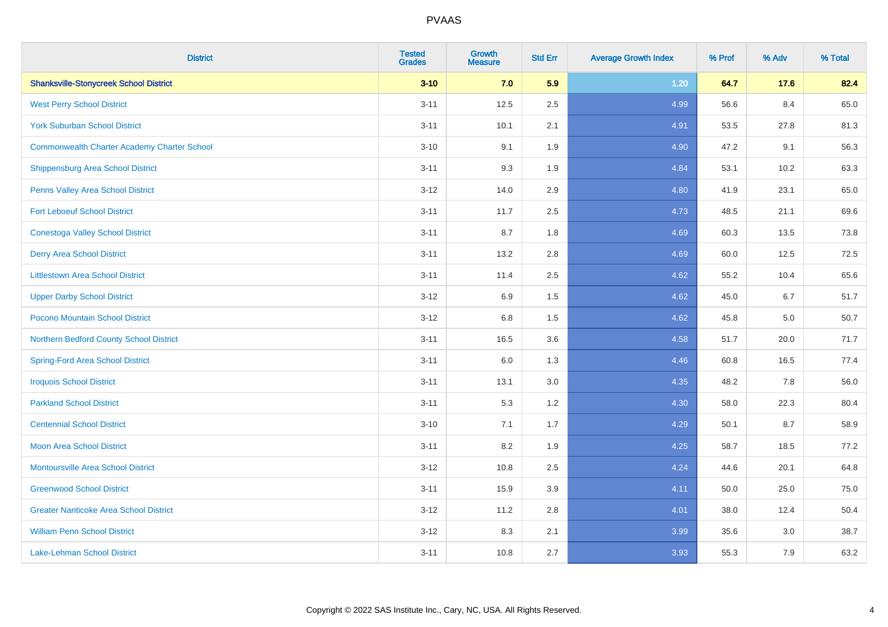| <b>District</b>                                    | <b>Tested</b><br><b>Grades</b> | <b>Growth</b><br><b>Measure</b> | <b>Std Err</b> | <b>Average Growth Index</b> | % Prof | % Adv | % Total |
|----------------------------------------------------|--------------------------------|---------------------------------|----------------|-----------------------------|--------|-------|---------|
| <b>Shanksville-Stonycreek School District</b>      | $3 - 10$                       | 7.0                             | 5.9            | $1.20$                      | 64.7   | 17.6  | 82.4    |
| <b>West Perry School District</b>                  | $3 - 11$                       | 12.5                            | 2.5            | 4.99                        | 56.6   | 8.4   | 65.0    |
| <b>York Suburban School District</b>               | $3 - 11$                       | 10.1                            | 2.1            | 4.91                        | 53.5   | 27.8  | 81.3    |
| <b>Commonwealth Charter Academy Charter School</b> | $3 - 10$                       | 9.1                             | 1.9            | 4.90                        | 47.2   | 9.1   | 56.3    |
| <b>Shippensburg Area School District</b>           | $3 - 11$                       | 9.3                             | 1.9            | 4.84                        | 53.1   | 10.2  | 63.3    |
| Penns Valley Area School District                  | $3 - 12$                       | 14.0                            | 2.9            | 4.80                        | 41.9   | 23.1  | 65.0    |
| <b>Fort Leboeuf School District</b>                | $3 - 11$                       | 11.7                            | 2.5            | 4.73                        | 48.5   | 21.1  | 69.6    |
| <b>Conestoga Valley School District</b>            | $3 - 11$                       | 8.7                             | 1.8            | 4.69                        | 60.3   | 13.5  | 73.8    |
| <b>Derry Area School District</b>                  | $3 - 11$                       | 13.2                            | 2.8            | 4.69                        | 60.0   | 12.5  | 72.5    |
| <b>Littlestown Area School District</b>            | $3 - 11$                       | 11.4                            | 2.5            | 4.62                        | 55.2   | 10.4  | 65.6    |
| <b>Upper Darby School District</b>                 | $3 - 12$                       | 6.9                             | 1.5            | 4.62                        | 45.0   | 6.7   | 51.7    |
| Pocono Mountain School District                    | $3 - 12$                       | 6.8                             | 1.5            | 4.62                        | 45.8   | 5.0   | 50.7    |
| Northern Bedford County School District            | $3 - 11$                       | 16.5                            | 3.6            | 4.58                        | 51.7   | 20.0  | 71.7    |
| <b>Spring-Ford Area School District</b>            | $3 - 11$                       | 6.0                             | 1.3            | 4.46                        | 60.8   | 16.5  | 77.4    |
| <b>Iroquois School District</b>                    | $3 - 11$                       | 13.1                            | 3.0            | 4.35                        | 48.2   | 7.8   | 56.0    |
| <b>Parkland School District</b>                    | $3 - 11$                       | 5.3                             | 1.2            | 4.30                        | 58.0   | 22.3  | 80.4    |
| <b>Centennial School District</b>                  | $3 - 10$                       | 7.1                             | 1.7            | 4.29                        | 50.1   | 8.7   | 58.9    |
| <b>Moon Area School District</b>                   | $3 - 11$                       | 8.2                             | 1.9            | 4.25                        | 58.7   | 18.5  | 77.2    |
| <b>Montoursville Area School District</b>          | $3 - 12$                       | 10.8                            | 2.5            | 4.24                        | 44.6   | 20.1  | 64.8    |
| <b>Greenwood School District</b>                   | $3 - 11$                       | 15.9                            | 3.9            | 4.11                        | 50.0   | 25.0  | 75.0    |
| <b>Greater Nanticoke Area School District</b>      | $3 - 12$                       | 11.2                            | 2.8            | 4.01                        | 38.0   | 12.4  | 50.4    |
| <b>William Penn School District</b>                | $3 - 12$                       | 8.3                             | 2.1            | 3.99                        | 35.6   | 3.0   | 38.7    |
| <b>Lake-Lehman School District</b>                 | $3 - 11$                       | 10.8                            | 2.7            | 3.93                        | 55.3   | 7.9   | 63.2    |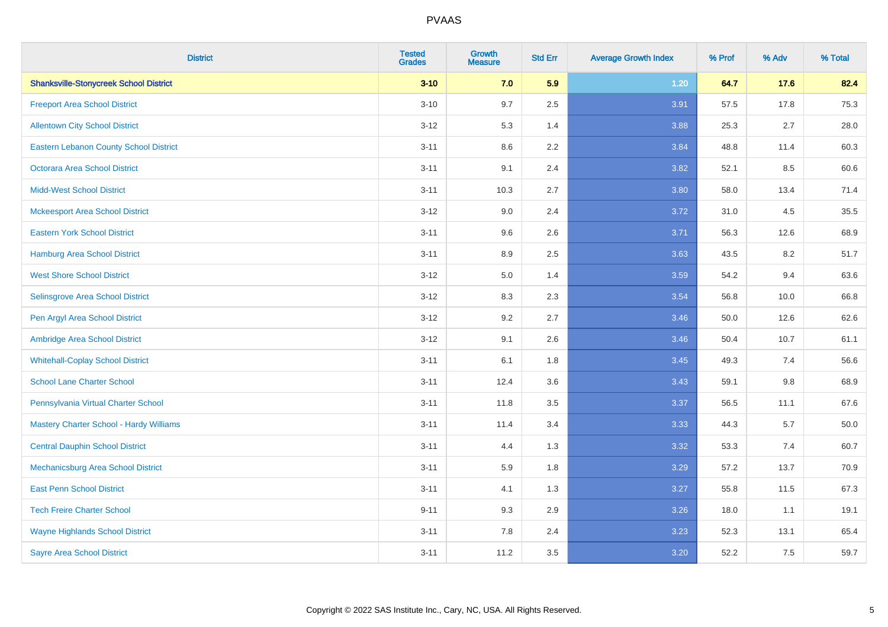| <b>District</b>                                | <b>Tested</b><br><b>Grades</b> | <b>Growth</b><br><b>Measure</b> | <b>Std Err</b> | <b>Average Growth Index</b> | % Prof | % Adv   | % Total |
|------------------------------------------------|--------------------------------|---------------------------------|----------------|-----------------------------|--------|---------|---------|
| <b>Shanksville-Stonycreek School District</b>  | $3 - 10$                       | 7.0                             | 5.9            | 1.20                        | 64.7   | 17.6    | 82.4    |
| <b>Freeport Area School District</b>           | $3 - 10$                       | 9.7                             | 2.5            | 3.91                        | 57.5   | 17.8    | 75.3    |
| <b>Allentown City School District</b>          | $3 - 12$                       | 5.3                             | 1.4            | 3.88                        | 25.3   | 2.7     | 28.0    |
| <b>Eastern Lebanon County School District</b>  | $3 - 11$                       | 8.6                             | 2.2            | 3.84                        | 48.8   | 11.4    | 60.3    |
| <b>Octorara Area School District</b>           | $3 - 11$                       | 9.1                             | 2.4            | 3.82                        | 52.1   | 8.5     | 60.6    |
| <b>Midd-West School District</b>               | $3 - 11$                       | 10.3                            | 2.7            | 3.80                        | 58.0   | 13.4    | 71.4    |
| <b>Mckeesport Area School District</b>         | $3 - 12$                       | 9.0                             | 2.4            | 3.72                        | 31.0   | 4.5     | 35.5    |
| <b>Eastern York School District</b>            | $3 - 11$                       | 9.6                             | 2.6            | 3.71                        | 56.3   | 12.6    | 68.9    |
| <b>Hamburg Area School District</b>            | $3 - 11$                       | 8.9                             | 2.5            | 3.63                        | 43.5   | 8.2     | 51.7    |
| <b>West Shore School District</b>              | $3-12$                         | 5.0                             | 1.4            | 3.59                        | 54.2   | 9.4     | 63.6    |
| Selinsgrove Area School District               | $3 - 12$                       | 8.3                             | 2.3            | 3.54                        | 56.8   | 10.0    | 66.8    |
| Pen Argyl Area School District                 | $3 - 12$                       | 9.2                             | 2.7            | 3.46                        | 50.0   | 12.6    | 62.6    |
| Ambridge Area School District                  | $3 - 12$                       | 9.1                             | 2.6            | 3.46                        | 50.4   | 10.7    | 61.1    |
| <b>Whitehall-Coplay School District</b>        | $3 - 11$                       | 6.1                             | 1.8            | 3.45                        | 49.3   | 7.4     | 56.6    |
| <b>School Lane Charter School</b>              | $3 - 11$                       | 12.4                            | 3.6            | 3.43                        | 59.1   | $9.8\,$ | 68.9    |
| Pennsylvania Virtual Charter School            | $3 - 11$                       | 11.8                            | 3.5            | 3.37                        | 56.5   | 11.1    | 67.6    |
| <b>Mastery Charter School - Hardy Williams</b> | $3 - 11$                       | 11.4                            | 3.4            | 3.33                        | 44.3   | 5.7     | 50.0    |
| <b>Central Dauphin School District</b>         | $3 - 11$                       | 4.4                             | 1.3            | 3.32                        | 53.3   | 7.4     | 60.7    |
| Mechanicsburg Area School District             | $3 - 11$                       | 5.9                             | 1.8            | 3.29                        | 57.2   | 13.7    | 70.9    |
| <b>East Penn School District</b>               | $3 - 11$                       | 4.1                             | 1.3            | 3.27                        | 55.8   | 11.5    | 67.3    |
| <b>Tech Freire Charter School</b>              | $9 - 11$                       | 9.3                             | 2.9            | 3.26                        | 18.0   | 1.1     | 19.1    |
| <b>Wayne Highlands School District</b>         | $3 - 11$                       | 7.8                             | 2.4            | 3.23                        | 52.3   | 13.1    | 65.4    |
| <b>Sayre Area School District</b>              | $3 - 11$                       | 11.2                            | 3.5            | 3.20                        | 52.2   | 7.5     | 59.7    |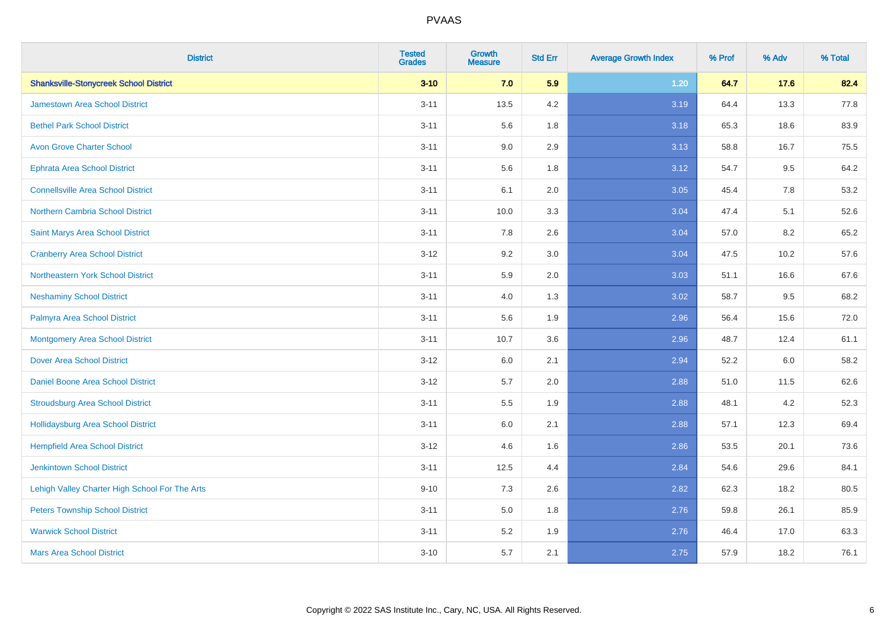| <b>District</b>                                | <b>Tested</b><br><b>Grades</b> | <b>Growth</b><br><b>Measure</b> | <b>Std Err</b> | <b>Average Growth Index</b> | % Prof | % Adv | % Total |
|------------------------------------------------|--------------------------------|---------------------------------|----------------|-----------------------------|--------|-------|---------|
| <b>Shanksville-Stonycreek School District</b>  | $3 - 10$                       | 7.0                             | 5.9            | $1.20$                      | 64.7   | 17.6  | 82.4    |
| <b>Jamestown Area School District</b>          | $3 - 11$                       | 13.5                            | 4.2            | 3.19                        | 64.4   | 13.3  | 77.8    |
| <b>Bethel Park School District</b>             | $3 - 11$                       | 5.6                             | 1.8            | 3.18                        | 65.3   | 18.6  | 83.9    |
| <b>Avon Grove Charter School</b>               | $3 - 11$                       | 9.0                             | 2.9            | 3.13                        | 58.8   | 16.7  | 75.5    |
| <b>Ephrata Area School District</b>            | $3 - 11$                       | 5.6                             | 1.8            | 3.12                        | 54.7   | 9.5   | 64.2    |
| <b>Connellsville Area School District</b>      | $3 - 11$                       | 6.1                             | 2.0            | 3.05                        | 45.4   | 7.8   | 53.2    |
| <b>Northern Cambria School District</b>        | $3 - 11$                       | 10.0                            | 3.3            | 3.04                        | 47.4   | 5.1   | 52.6    |
| Saint Marys Area School District               | $3 - 11$                       | 7.8                             | 2.6            | 3.04                        | 57.0   | 8.2   | 65.2    |
| <b>Cranberry Area School District</b>          | $3 - 12$                       | 9.2                             | 3.0            | 3.04                        | 47.5   | 10.2  | 57.6    |
| Northeastern York School District              | $3 - 11$                       | 5.9                             | 2.0            | 3.03                        | 51.1   | 16.6  | 67.6    |
| <b>Neshaminy School District</b>               | $3 - 11$                       | 4.0                             | 1.3            | 3.02                        | 58.7   | 9.5   | 68.2    |
| Palmyra Area School District                   | $3 - 11$                       | 5.6                             | 1.9            | 2.96                        | 56.4   | 15.6  | 72.0    |
| <b>Montgomery Area School District</b>         | $3 - 11$                       | 10.7                            | 3.6            | 2.96                        | 48.7   | 12.4  | 61.1    |
| <b>Dover Area School District</b>              | $3 - 12$                       | 6.0                             | 2.1            | 2.94                        | 52.2   | 6.0   | 58.2    |
| Daniel Boone Area School District              | $3 - 12$                       | 5.7                             | 2.0            | 2.88                        | 51.0   | 11.5  | 62.6    |
| <b>Stroudsburg Area School District</b>        | $3 - 11$                       | $5.5\,$                         | 1.9            | 2.88                        | 48.1   | 4.2   | 52.3    |
| <b>Hollidaysburg Area School District</b>      | $3 - 11$                       | 6.0                             | 2.1            | 2.88                        | 57.1   | 12.3  | 69.4    |
| <b>Hempfield Area School District</b>          | $3 - 12$                       | 4.6                             | 1.6            | 2.86                        | 53.5   | 20.1  | 73.6    |
| <b>Jenkintown School District</b>              | $3 - 11$                       | 12.5                            | 4.4            | 2.84                        | 54.6   | 29.6  | 84.1    |
| Lehigh Valley Charter High School For The Arts | $9 - 10$                       | 7.3                             | 2.6            | 2.82                        | 62.3   | 18.2  | 80.5    |
| <b>Peters Township School District</b>         | $3 - 11$                       | 5.0                             | 1.8            | 2.76                        | 59.8   | 26.1  | 85.9    |
| <b>Warwick School District</b>                 | $3 - 11$                       | 5.2                             | 1.9            | 2.76                        | 46.4   | 17.0  | 63.3    |
| <b>Mars Area School District</b>               | $3 - 10$                       | 5.7                             | 2.1            | 2.75                        | 57.9   | 18.2  | 76.1    |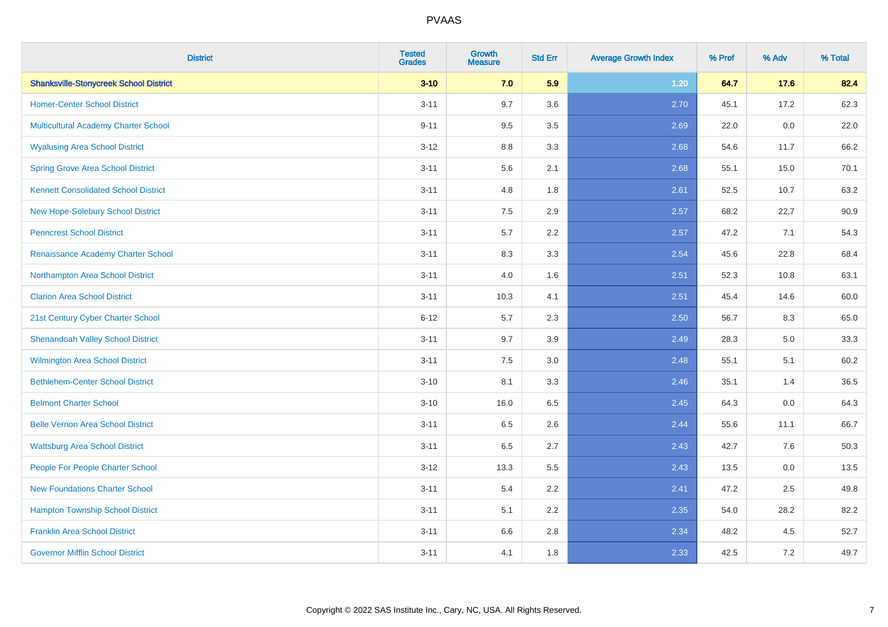| <b>District</b>                               | <b>Tested</b><br><b>Grades</b> | <b>Growth</b><br><b>Measure</b> | <b>Std Err</b> | <b>Average Growth Index</b> | % Prof | % Adv | % Total |
|-----------------------------------------------|--------------------------------|---------------------------------|----------------|-----------------------------|--------|-------|---------|
| <b>Shanksville-Stonycreek School District</b> | $3 - 10$                       | 7.0                             | 5.9            | 1.20                        | 64.7   | 17.6  | 82.4    |
| <b>Homer-Center School District</b>           | $3 - 11$                       | 9.7                             | 3.6            | 2.70                        | 45.1   | 17.2  | 62.3    |
| <b>Multicultural Academy Charter School</b>   | $9 - 11$                       | 9.5                             | 3.5            | 2.69                        | 22.0   | 0.0   | 22.0    |
| <b>Wyalusing Area School District</b>         | $3 - 12$                       | 8.8                             | 3.3            | 2.68                        | 54.6   | 11.7  | 66.2    |
| <b>Spring Grove Area School District</b>      | $3 - 11$                       | 5.6                             | 2.1            | 2.68                        | 55.1   | 15.0  | 70.1    |
| <b>Kennett Consolidated School District</b>   | $3 - 11$                       | 4.8                             | 1.8            | 2.61                        | 52.5   | 10.7  | 63.2    |
| New Hope-Solebury School District             | $3 - 11$                       | 7.5                             | 2.9            | 2.57                        | 68.2   | 22.7  | 90.9    |
| <b>Penncrest School District</b>              | $3 - 11$                       | 5.7                             | 2.2            | 2.57                        | 47.2   | 7.1   | 54.3    |
| Renaissance Academy Charter School            | $3 - 11$                       | 8.3                             | 3.3            | 2.54                        | 45.6   | 22.8  | 68.4    |
| Northampton Area School District              | $3 - 11$                       | 4.0                             | 1.6            | 2.51                        | 52.3   | 10.8  | 63.1    |
| <b>Clarion Area School District</b>           | $3 - 11$                       | 10.3                            | 4.1            | 2.51                        | 45.4   | 14.6  | 60.0    |
| 21st Century Cyber Charter School             | $6 - 12$                       | 5.7                             | 2.3            | 2.50                        | 56.7   | 8.3   | 65.0    |
| <b>Shenandoah Valley School District</b>      | $3 - 11$                       | 9.7                             | 3.9            | 2.49                        | 28.3   | 5.0   | 33.3    |
| <b>Wilmington Area School District</b>        | $3 - 11$                       | 7.5                             | 3.0            | 2.48                        | 55.1   | 5.1   | 60.2    |
| <b>Bethlehem-Center School District</b>       | $3 - 10$                       | 8.1                             | 3.3            | 2.46                        | 35.1   | 1.4   | 36.5    |
| <b>Belmont Charter School</b>                 | $3 - 10$                       | 16.0                            | 6.5            | 2.45                        | 64.3   | 0.0   | 64.3    |
| <b>Belle Vernon Area School District</b>      | $3 - 11$                       | 6.5                             | 2.6            | 2.44                        | 55.6   | 11.1  | 66.7    |
| <b>Wattsburg Area School District</b>         | $3 - 11$                       | 6.5                             | 2.7            | 2.43                        | 42.7   | 7.6   | 50.3    |
| People For People Charter School              | $3 - 12$                       | 13.3                            | 5.5            | 2.43                        | 13.5   | 0.0   | 13.5    |
| <b>New Foundations Charter School</b>         | $3 - 11$                       | 5.4                             | 2.2            | 2.41                        | 47.2   | 2.5   | 49.8    |
| <b>Hampton Township School District</b>       | $3 - 11$                       | 5.1                             | 2.2            | 2.35                        | 54.0   | 28.2  | 82.2    |
| <b>Franklin Area School District</b>          | $3 - 11$                       | 6.6                             | 2.8            | 2.34                        | 48.2   | 4.5   | 52.7    |
| <b>Governor Mifflin School District</b>       | $3 - 11$                       | 4.1                             | 1.8            | 2.33                        | 42.5   | 7.2   | 49.7    |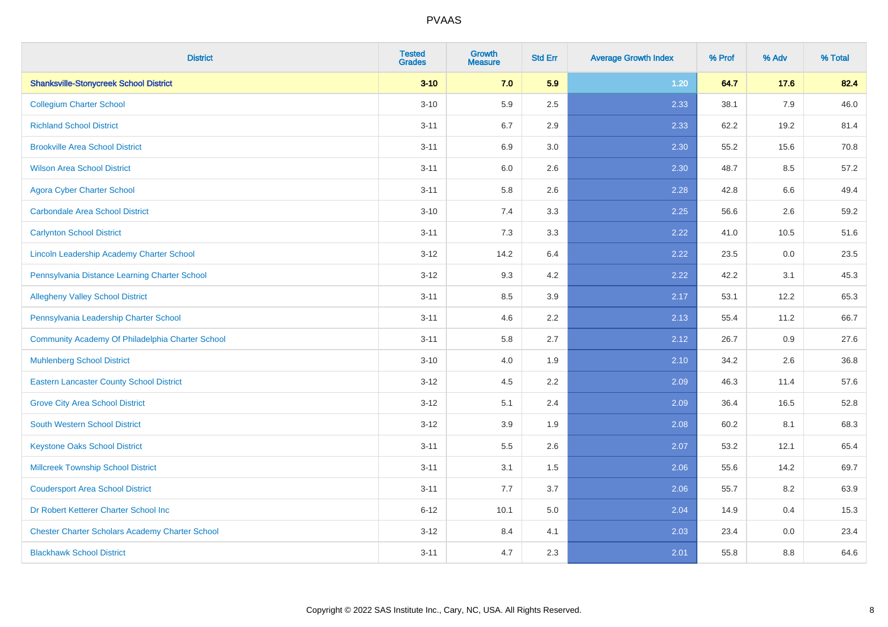| <b>District</b>                                        | <b>Tested</b><br><b>Grades</b> | <b>Growth</b><br><b>Measure</b> | <b>Std Err</b> | <b>Average Growth Index</b> | % Prof | % Adv   | % Total |
|--------------------------------------------------------|--------------------------------|---------------------------------|----------------|-----------------------------|--------|---------|---------|
| <b>Shanksville-Stonycreek School District</b>          | $3 - 10$                       | 7.0                             | 5.9            | 1.20                        | 64.7   | 17.6    | 82.4    |
| <b>Collegium Charter School</b>                        | $3 - 10$                       | 5.9                             | 2.5            | 2.33                        | 38.1   | 7.9     | 46.0    |
| <b>Richland School District</b>                        | $3 - 11$                       | 6.7                             | 2.9            | 2.33                        | 62.2   | 19.2    | 81.4    |
| <b>Brookville Area School District</b>                 | $3 - 11$                       | 6.9                             | 3.0            | 2.30                        | 55.2   | 15.6    | 70.8    |
| <b>Wilson Area School District</b>                     | $3 - 11$                       | 6.0                             | 2.6            | 2.30                        | 48.7   | 8.5     | 57.2    |
| <b>Agora Cyber Charter School</b>                      | $3 - 11$                       | 5.8                             | 2.6            | 2.28                        | 42.8   | $6.6\,$ | 49.4    |
| <b>Carbondale Area School District</b>                 | $3 - 10$                       | 7.4                             | 3.3            | 2.25                        | 56.6   | 2.6     | 59.2    |
| <b>Carlynton School District</b>                       | $3 - 11$                       | 7.3                             | 3.3            | 2.22                        | 41.0   | 10.5    | 51.6    |
| Lincoln Leadership Academy Charter School              | $3-12$                         | 14.2                            | 6.4            | 2.22                        | 23.5   | 0.0     | 23.5    |
| Pennsylvania Distance Learning Charter School          | $3 - 12$                       | 9.3                             | 4.2            | 2.22                        | 42.2   | 3.1     | 45.3    |
| <b>Allegheny Valley School District</b>                | $3 - 11$                       | 8.5                             | 3.9            | 2.17                        | 53.1   | 12.2    | 65.3    |
| Pennsylvania Leadership Charter School                 | $3 - 11$                       | 4.6                             | 2.2            | 2.13                        | 55.4   | 11.2    | 66.7    |
| Community Academy Of Philadelphia Charter School       | $3 - 11$                       | 5.8                             | 2.7            | 2.12                        | 26.7   | 0.9     | 27.6    |
| <b>Muhlenberg School District</b>                      | $3 - 10$                       | 4.0                             | 1.9            | 2.10                        | 34.2   | 2.6     | 36.8    |
| <b>Eastern Lancaster County School District</b>        | $3-12$                         | 4.5                             | 2.2            | 2.09                        | 46.3   | 11.4    | 57.6    |
| <b>Grove City Area School District</b>                 | $3 - 12$                       | 5.1                             | 2.4            | 2.09                        | 36.4   | 16.5    | 52.8    |
| <b>South Western School District</b>                   | $3 - 12$                       | 3.9                             | 1.9            | 2.08                        | 60.2   | 8.1     | 68.3    |
| <b>Keystone Oaks School District</b>                   | $3 - 11$                       | 5.5                             | 2.6            | 2.07                        | 53.2   | 12.1    | 65.4    |
| <b>Millcreek Township School District</b>              | $3 - 11$                       | 3.1                             | 1.5            | 2.06                        | 55.6   | 14.2    | 69.7    |
| <b>Coudersport Area School District</b>                | $3 - 11$                       | 7.7                             | 3.7            | 2.06                        | 55.7   | 8.2     | 63.9    |
| Dr Robert Ketterer Charter School Inc                  | $6 - 12$                       | 10.1                            | 5.0            | 2.04                        | 14.9   | 0.4     | 15.3    |
| <b>Chester Charter Scholars Academy Charter School</b> | $3 - 12$                       | 8.4                             | 4.1            | 2.03                        | 23.4   | 0.0     | 23.4    |
| <b>Blackhawk School District</b>                       | $3 - 11$                       | 4.7                             | 2.3            | 2.01                        | 55.8   | 8.8     | 64.6    |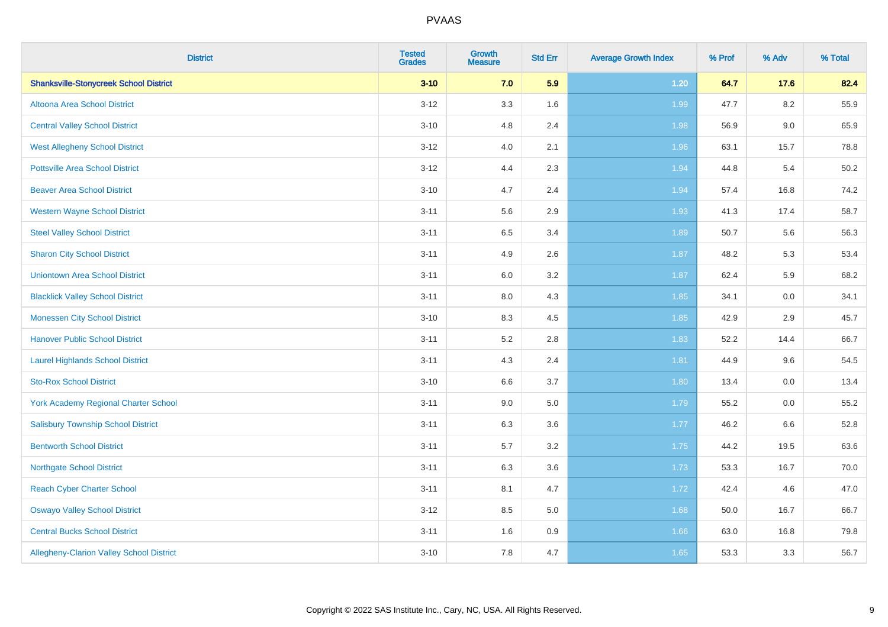| <b>District</b>                               | <b>Tested</b><br><b>Grades</b> | <b>Growth</b><br><b>Measure</b> | <b>Std Err</b> | <b>Average Growth Index</b> | % Prof | % Adv   | % Total |
|-----------------------------------------------|--------------------------------|---------------------------------|----------------|-----------------------------|--------|---------|---------|
| <b>Shanksville-Stonycreek School District</b> | $3 - 10$                       | 7.0                             | 5.9            | $1.20$                      | 64.7   | 17.6    | 82.4    |
| Altoona Area School District                  | $3 - 12$                       | 3.3                             | 1.6            | 1.99                        | 47.7   | $8.2\,$ | 55.9    |
| <b>Central Valley School District</b>         | $3 - 10$                       | 4.8                             | 2.4            | 1.98                        | 56.9   | 9.0     | 65.9    |
| <b>West Allegheny School District</b>         | $3 - 12$                       | 4.0                             | 2.1            | 1.96                        | 63.1   | 15.7    | 78.8    |
| <b>Pottsville Area School District</b>        | $3 - 12$                       | 4.4                             | 2.3            | 1.94                        | 44.8   | 5.4     | 50.2    |
| <b>Beaver Area School District</b>            | $3 - 10$                       | 4.7                             | 2.4            | 1.94                        | 57.4   | 16.8    | 74.2    |
| <b>Western Wayne School District</b>          | $3 - 11$                       | 5.6                             | 2.9            | 1.93                        | 41.3   | 17.4    | 58.7    |
| <b>Steel Valley School District</b>           | $3 - 11$                       | 6.5                             | 3.4            | 1.89                        | 50.7   | 5.6     | 56.3    |
| <b>Sharon City School District</b>            | $3 - 11$                       | 4.9                             | 2.6            | 1.87                        | 48.2   | 5.3     | 53.4    |
| <b>Uniontown Area School District</b>         | $3 - 11$                       | 6.0                             | 3.2            | 1.87                        | 62.4   | 5.9     | 68.2    |
| <b>Blacklick Valley School District</b>       | $3 - 11$                       | $8.0\,$                         | 4.3            | 1.85                        | 34.1   | 0.0     | 34.1    |
| <b>Monessen City School District</b>          | $3 - 10$                       | 8.3                             | 4.5            | 1.85                        | 42.9   | 2.9     | 45.7    |
| <b>Hanover Public School District</b>         | $3 - 11$                       | 5.2                             | 2.8            | 1.83                        | 52.2   | 14.4    | 66.7    |
| <b>Laurel Highlands School District</b>       | $3 - 11$                       | 4.3                             | 2.4            | 1.81                        | 44.9   | 9.6     | 54.5    |
| <b>Sto-Rox School District</b>                | $3 - 10$                       | 6.6                             | 3.7            | 1.80                        | 13.4   | 0.0     | 13.4    |
| York Academy Regional Charter School          | $3 - 11$                       | 9.0                             | 5.0            | 1.79                        | 55.2   | $0.0\,$ | 55.2    |
| <b>Salisbury Township School District</b>     | $3 - 11$                       | 6.3                             | 3.6            | 1.77                        | 46.2   | 6.6     | 52.8    |
| <b>Bentworth School District</b>              | $3 - 11$                       | 5.7                             | 3.2            | 1.75                        | 44.2   | 19.5    | 63.6    |
| <b>Northgate School District</b>              | $3 - 11$                       | 6.3                             | 3.6            | 1.73                        | 53.3   | 16.7    | 70.0    |
| <b>Reach Cyber Charter School</b>             | $3 - 11$                       | 8.1                             | 4.7            | 1.72                        | 42.4   | 4.6     | 47.0    |
| <b>Oswayo Valley School District</b>          | $3 - 12$                       | 8.5                             | 5.0            | 1.68                        | 50.0   | 16.7    | 66.7    |
| <b>Central Bucks School District</b>          | $3 - 11$                       | 1.6                             | 0.9            | 1.66                        | 63.0   | 16.8    | 79.8    |
| Allegheny-Clarion Valley School District      | $3 - 10$                       | 7.8                             | 4.7            | 1.65                        | 53.3   | 3.3     | 56.7    |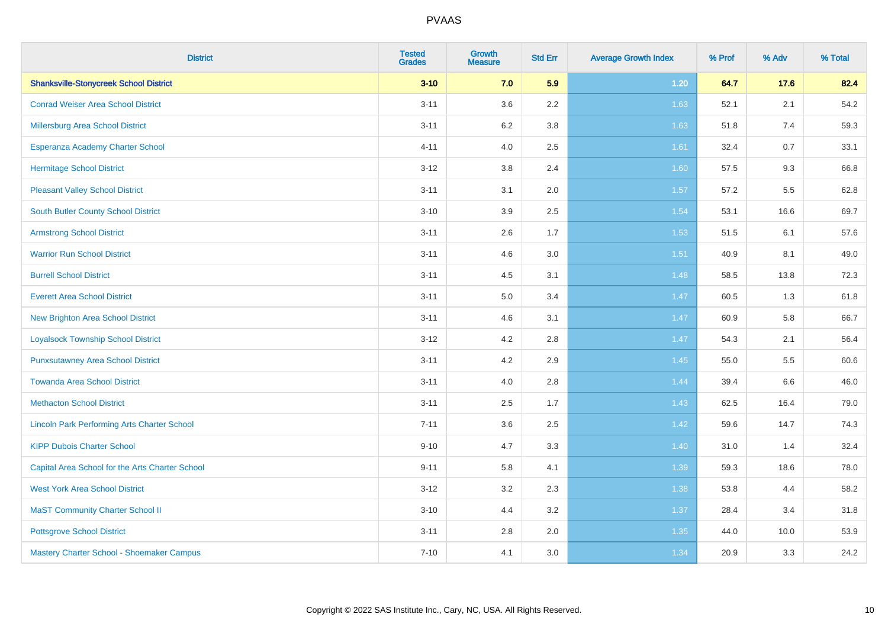| <b>District</b>                                    | <b>Tested</b><br><b>Grades</b> | <b>Growth</b><br><b>Measure</b> | <b>Std Err</b> | <b>Average Growth Index</b> | % Prof | % Adv   | % Total |
|----------------------------------------------------|--------------------------------|---------------------------------|----------------|-----------------------------|--------|---------|---------|
| <b>Shanksville-Stonycreek School District</b>      | $3 - 10$                       | 7.0                             | 5.9            | 1.20                        | 64.7   | 17.6    | 82.4    |
| <b>Conrad Weiser Area School District</b>          | $3 - 11$                       | 3.6                             | 2.2            | 1.63                        | 52.1   | 2.1     | 54.2    |
| <b>Millersburg Area School District</b>            | $3 - 11$                       | 6.2                             | 3.8            | 1.63                        | 51.8   | 7.4     | 59.3    |
| Esperanza Academy Charter School                   | $4 - 11$                       | 4.0                             | 2.5            | 1.61                        | 32.4   | 0.7     | 33.1    |
| <b>Hermitage School District</b>                   | $3 - 12$                       | 3.8                             | 2.4            | 1.60                        | 57.5   | 9.3     | 66.8    |
| <b>Pleasant Valley School District</b>             | $3 - 11$                       | 3.1                             | 2.0            | 1.57                        | 57.2   | $5.5\,$ | 62.8    |
| South Butler County School District                | $3 - 10$                       | 3.9                             | 2.5            | 1.54                        | 53.1   | 16.6    | 69.7    |
| <b>Armstrong School District</b>                   | $3 - 11$                       | 2.6                             | 1.7            | 1.53                        | 51.5   | 6.1     | 57.6    |
| <b>Warrior Run School District</b>                 | $3 - 11$                       | 4.6                             | 3.0            | 1.51                        | 40.9   | 8.1     | 49.0    |
| <b>Burrell School District</b>                     | $3 - 11$                       | 4.5                             | 3.1            | 1.48                        | 58.5   | 13.8    | 72.3    |
| <b>Everett Area School District</b>                | $3 - 11$                       | 5.0                             | 3.4            | 1.47                        | 60.5   | 1.3     | 61.8    |
| <b>New Brighton Area School District</b>           | $3 - 11$                       | 4.6                             | 3.1            | 1.47                        | 60.9   | 5.8     | 66.7    |
| <b>Loyalsock Township School District</b>          | $3 - 12$                       | 4.2                             | 2.8            | 1.47                        | 54.3   | 2.1     | 56.4    |
| <b>Punxsutawney Area School District</b>           | $3 - 11$                       | 4.2                             | 2.9            | 1.45                        | 55.0   | 5.5     | 60.6    |
| <b>Towanda Area School District</b>                | $3 - 11$                       | 4.0                             | 2.8            | 1.44                        | 39.4   | $6.6\,$ | 46.0    |
| <b>Methacton School District</b>                   | $3 - 11$                       | 2.5                             | 1.7            | 1.43                        | 62.5   | 16.4    | 79.0    |
| <b>Lincoln Park Performing Arts Charter School</b> | $7 - 11$                       | 3.6                             | 2.5            | 1.42                        | 59.6   | 14.7    | 74.3    |
| <b>KIPP Dubois Charter School</b>                  | $9 - 10$                       | 4.7                             | 3.3            | 1.40                        | 31.0   | 1.4     | 32.4    |
| Capital Area School for the Arts Charter School    | $9 - 11$                       | 5.8                             | 4.1            | 1.39                        | 59.3   | 18.6    | 78.0    |
| <b>West York Area School District</b>              | $3 - 12$                       | 3.2                             | 2.3            | 1.38                        | 53.8   | 4.4     | 58.2    |
| <b>MaST Community Charter School II</b>            | $3 - 10$                       | 4.4                             | 3.2            | 1.37                        | 28.4   | 3.4     | 31.8    |
| <b>Pottsgrove School District</b>                  | $3 - 11$                       | 2.8                             | 2.0            | 1.35                        | 44.0   | 10.0    | 53.9    |
| Mastery Charter School - Shoemaker Campus          | $7 - 10$                       | 4.1                             | 3.0            | 1.34                        | 20.9   | 3.3     | 24.2    |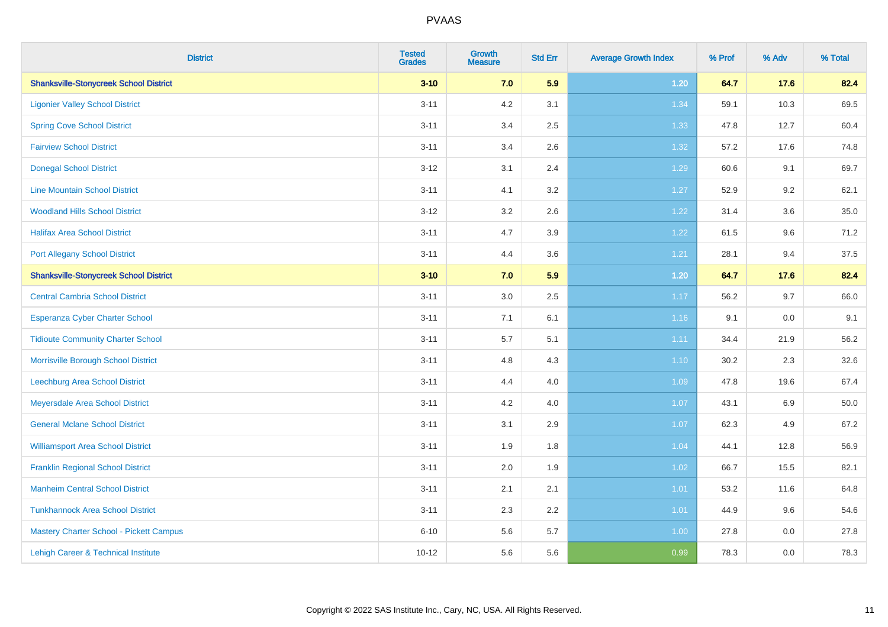| <b>District</b>                                | <b>Tested</b><br><b>Grades</b> | <b>Growth</b><br><b>Measure</b> | <b>Std Err</b> | <b>Average Growth Index</b> | % Prof | % Adv   | % Total |
|------------------------------------------------|--------------------------------|---------------------------------|----------------|-----------------------------|--------|---------|---------|
| <b>Shanksville-Stonycreek School District</b>  | $3 - 10$                       | 7.0                             | 5.9            | $1.20$                      | 64.7   | 17.6    | 82.4    |
| <b>Ligonier Valley School District</b>         | $3 - 11$                       | 4.2                             | 3.1            | 1.34                        | 59.1   | 10.3    | 69.5    |
| <b>Spring Cove School District</b>             | $3 - 11$                       | 3.4                             | 2.5            | 1.33                        | 47.8   | 12.7    | 60.4    |
| <b>Fairview School District</b>                | $3 - 11$                       | 3.4                             | 2.6            | 1.32                        | 57.2   | 17.6    | 74.8    |
| <b>Donegal School District</b>                 | $3 - 12$                       | 3.1                             | 2.4            | 1.29                        | 60.6   | 9.1     | 69.7    |
| <b>Line Mountain School District</b>           | $3 - 11$                       | 4.1                             | 3.2            | 1.27                        | 52.9   | 9.2     | 62.1    |
| <b>Woodland Hills School District</b>          | $3 - 12$                       | 3.2                             | 2.6            | 1.22                        | 31.4   | 3.6     | 35.0    |
| <b>Halifax Area School District</b>            | $3 - 11$                       | 4.7                             | 3.9            | 1.22                        | 61.5   | 9.6     | 71.2    |
| <b>Port Allegany School District</b>           | $3 - 11$                       | 4.4                             | 3.6            | 1.21                        | 28.1   | 9.4     | 37.5    |
| <b>Shanksville-Stonycreek School District</b>  | $3 - 10$                       | 7.0                             | 5.9            | 1.20                        | 64.7   | 17.6    | 82.4    |
| <b>Central Cambria School District</b>         | $3 - 11$                       | 3.0                             | 2.5            | 1.17                        | 56.2   | 9.7     | 66.0    |
| Esperanza Cyber Charter School                 | $3 - 11$                       | 7.1                             | 6.1            | 1.16                        | 9.1    | 0.0     | 9.1     |
| <b>Tidioute Community Charter School</b>       | $3 - 11$                       | 5.7                             | 5.1            | 1.11                        | 34.4   | 21.9    | 56.2    |
| Morrisville Borough School District            | $3 - 11$                       | 4.8                             | 4.3            | $1.10$                      | 30.2   | 2.3     | 32.6    |
| <b>Leechburg Area School District</b>          | $3 - 11$                       | 4.4                             | 4.0            | 1.09                        | 47.8   | 19.6    | 67.4    |
| Meyersdale Area School District                | $3 - 11$                       | 4.2                             | 4.0            | 1.07                        | 43.1   | $6.9\,$ | 50.0    |
| <b>General Mclane School District</b>          | $3 - 11$                       | 3.1                             | 2.9            | 1.07                        | 62.3   | 4.9     | 67.2    |
| <b>Williamsport Area School District</b>       | $3 - 11$                       | 1.9                             | 1.8            | 1.04                        | 44.1   | 12.8    | 56.9    |
| <b>Franklin Regional School District</b>       | $3 - 11$                       | 2.0                             | 1.9            | 1.02                        | 66.7   | 15.5    | 82.1    |
| <b>Manheim Central School District</b>         | $3 - 11$                       | 2.1                             | 2.1            | 1.01                        | 53.2   | 11.6    | 64.8    |
| <b>Tunkhannock Area School District</b>        | $3 - 11$                       | 2.3                             | 2.2            | 1.01                        | 44.9   | 9.6     | 54.6    |
| <b>Mastery Charter School - Pickett Campus</b> | $6 - 10$                       | 5.6                             | 5.7            | 1.00                        | 27.8   | 0.0     | 27.8    |
| Lehigh Career & Technical Institute            | $10 - 12$                      | 5.6                             | 5.6            | 0.99                        | 78.3   | 0.0     | 78.3    |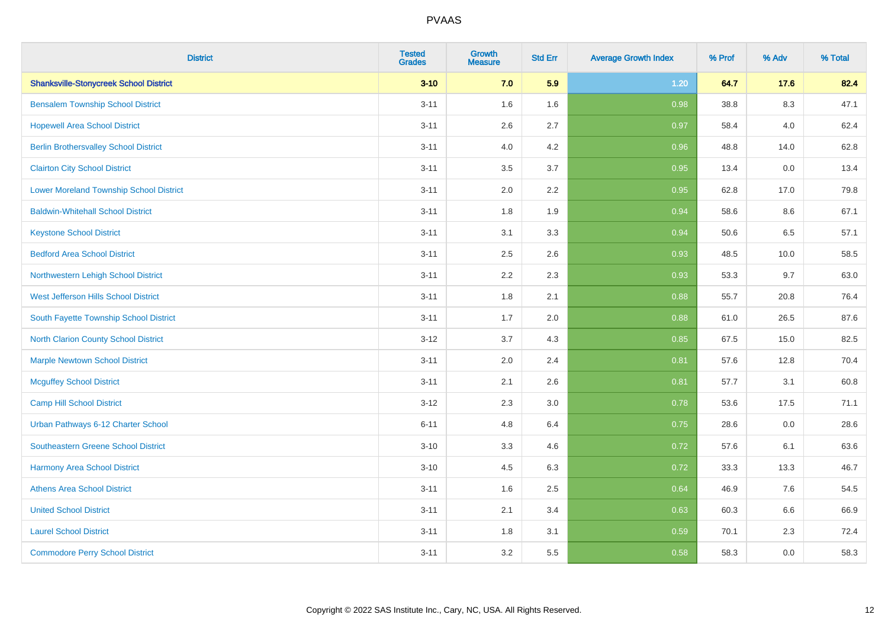| <b>District</b>                               | <b>Tested</b><br><b>Grades</b> | <b>Growth</b><br><b>Measure</b> | <b>Std Err</b> | <b>Average Growth Index</b> | % Prof | % Adv   | % Total |
|-----------------------------------------------|--------------------------------|---------------------------------|----------------|-----------------------------|--------|---------|---------|
| <b>Shanksville-Stonycreek School District</b> | $3 - 10$                       | 7.0                             | 5.9            | 1.20                        | 64.7   | 17.6    | 82.4    |
| <b>Bensalem Township School District</b>      | $3 - 11$                       | 1.6                             | 1.6            | 0.98                        | 38.8   | $8.3\,$ | 47.1    |
| <b>Hopewell Area School District</b>          | $3 - 11$                       | 2.6                             | 2.7            | 0.97                        | 58.4   | 4.0     | 62.4    |
| <b>Berlin Brothersvalley School District</b>  | $3 - 11$                       | 4.0                             | 4.2            | 0.96                        | 48.8   | 14.0    | 62.8    |
| <b>Clairton City School District</b>          | $3 - 11$                       | 3.5                             | 3.7            | 0.95                        | 13.4   | 0.0     | 13.4    |
| Lower Moreland Township School District       | $3 - 11$                       | 2.0                             | 2.2            | 0.95                        | 62.8   | 17.0    | 79.8    |
| <b>Baldwin-Whitehall School District</b>      | $3 - 11$                       | 1.8                             | 1.9            | 0.94                        | 58.6   | 8.6     | 67.1    |
| <b>Keystone School District</b>               | $3 - 11$                       | 3.1                             | 3.3            | 0.94                        | 50.6   | 6.5     | 57.1    |
| <b>Bedford Area School District</b>           | $3 - 11$                       | 2.5                             | 2.6            | 0.93                        | 48.5   | 10.0    | 58.5    |
| Northwestern Lehigh School District           | $3 - 11$                       | 2.2                             | 2.3            | 0.93                        | 53.3   | 9.7     | 63.0    |
| <b>West Jefferson Hills School District</b>   | $3 - 11$                       | 1.8                             | 2.1            | 0.88                        | 55.7   | 20.8    | 76.4    |
| South Fayette Township School District        | $3 - 11$                       | 1.7                             | 2.0            | 0.88                        | 61.0   | 26.5    | 87.6    |
| <b>North Clarion County School District</b>   | $3-12$                         | 3.7                             | 4.3            | 0.85                        | 67.5   | 15.0    | 82.5    |
| <b>Marple Newtown School District</b>         | $3 - 11$                       | 2.0                             | 2.4            | 0.81                        | 57.6   | 12.8    | 70.4    |
| <b>Mcguffey School District</b>               | $3 - 11$                       | 2.1                             | 2.6            | 0.81                        | 57.7   | 3.1     | 60.8    |
| Camp Hill School District                     | $3-12$                         | 2.3                             | 3.0            | 0.78                        | 53.6   | 17.5    | 71.1    |
| Urban Pathways 6-12 Charter School            | $6 - 11$                       | 4.8                             | 6.4            | 0.75                        | 28.6   | 0.0     | 28.6    |
| Southeastern Greene School District           | $3 - 10$                       | 3.3                             | 4.6            | 0.72                        | 57.6   | 6.1     | 63.6    |
| <b>Harmony Area School District</b>           | $3 - 10$                       | 4.5                             | 6.3            | 0.72                        | 33.3   | 13.3    | 46.7    |
| <b>Athens Area School District</b>            | $3 - 11$                       | 1.6                             | 2.5            | 0.64                        | 46.9   | 7.6     | 54.5    |
| <b>United School District</b>                 | $3 - 11$                       | 2.1                             | 3.4            | 0.63                        | 60.3   | 6.6     | 66.9    |
| <b>Laurel School District</b>                 | $3 - 11$                       | 1.8                             | 3.1            | 0.59                        | 70.1   | 2.3     | 72.4    |
| <b>Commodore Perry School District</b>        | $3 - 11$                       | 3.2                             | 5.5            | 0.58                        | 58.3   | 0.0     | 58.3    |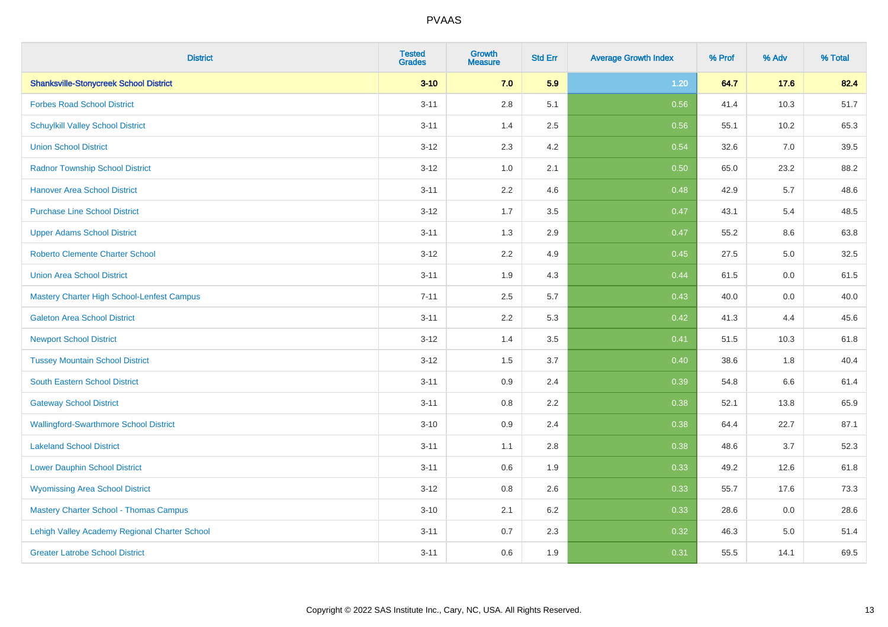| <b>District</b>                               | <b>Tested</b><br><b>Grades</b> | <b>Growth</b><br><b>Measure</b> | <b>Std Err</b> | <b>Average Growth Index</b> | % Prof | % Adv   | % Total |
|-----------------------------------------------|--------------------------------|---------------------------------|----------------|-----------------------------|--------|---------|---------|
| <b>Shanksville-Stonycreek School District</b> | $3 - 10$                       | 7.0                             | 5.9            | 1.20                        | 64.7   | 17.6    | 82.4    |
| <b>Forbes Road School District</b>            | $3 - 11$                       | $2.8\,$                         | 5.1            | 0.56                        | 41.4   | 10.3    | 51.7    |
| <b>Schuylkill Valley School District</b>      | $3 - 11$                       | 1.4                             | 2.5            | 0.56                        | 55.1   | 10.2    | 65.3    |
| <b>Union School District</b>                  | $3 - 12$                       | 2.3                             | 4.2            | 0.54                        | 32.6   | 7.0     | 39.5    |
| <b>Radnor Township School District</b>        | $3 - 12$                       | 1.0                             | 2.1            | 0.50                        | 65.0   | 23.2    | 88.2    |
| <b>Hanover Area School District</b>           | $3 - 11$                       | 2.2                             | 4.6            | 0.48                        | 42.9   | 5.7     | 48.6    |
| <b>Purchase Line School District</b>          | $3 - 12$                       | 1.7                             | 3.5            | 0.47                        | 43.1   | 5.4     | 48.5    |
| <b>Upper Adams School District</b>            | $3 - 11$                       | 1.3                             | 2.9            | 0.47                        | 55.2   | 8.6     | 63.8    |
| <b>Roberto Clemente Charter School</b>        | $3 - 12$                       | 2.2                             | 4.9            | 0.45                        | 27.5   | $5.0\,$ | 32.5    |
| <b>Union Area School District</b>             | $3 - 11$                       | 1.9                             | 4.3            | 0.44                        | 61.5   | 0.0     | 61.5    |
| Mastery Charter High School-Lenfest Campus    | $7 - 11$                       | 2.5                             | 5.7            | 0.43                        | 40.0   | 0.0     | 40.0    |
| <b>Galeton Area School District</b>           | $3 - 11$                       | 2.2                             | 5.3            | 0.42                        | 41.3   | 4.4     | 45.6    |
| <b>Newport School District</b>                | $3 - 12$                       | 1.4                             | 3.5            | 0.41                        | 51.5   | 10.3    | 61.8    |
| <b>Tussey Mountain School District</b>        | $3 - 12$                       | 1.5                             | 3.7            | 0.40                        | 38.6   | 1.8     | 40.4    |
| <b>South Eastern School District</b>          | $3 - 11$                       | 0.9                             | 2.4            | 0.39                        | 54.8   | $6.6\,$ | 61.4    |
| <b>Gateway School District</b>                | $3 - 11$                       | 0.8                             | 2.2            | 0.38                        | 52.1   | 13.8    | 65.9    |
| <b>Wallingford-Swarthmore School District</b> | $3 - 10$                       | 0.9                             | 2.4            | 0.38                        | 64.4   | 22.7    | 87.1    |
| <b>Lakeland School District</b>               | $3 - 11$                       | 1.1                             | 2.8            | 0.38                        | 48.6   | 3.7     | 52.3    |
| <b>Lower Dauphin School District</b>          | $3 - 11$                       | 0.6                             | 1.9            | 0.33                        | 49.2   | 12.6    | 61.8    |
| <b>Wyomissing Area School District</b>        | $3 - 12$                       | 0.8                             | 2.6            | 0.33                        | 55.7   | 17.6    | 73.3    |
| <b>Mastery Charter School - Thomas Campus</b> | $3 - 10$                       | 2.1                             | 6.2            | 0.33                        | 28.6   | 0.0     | 28.6    |
| Lehigh Valley Academy Regional Charter School | $3 - 11$                       | 0.7                             | 2.3            | 0.32                        | 46.3   | 5.0     | 51.4    |
| <b>Greater Latrobe School District</b>        | $3 - 11$                       | 0.6                             | 1.9            | 0.31                        | 55.5   | 14.1    | 69.5    |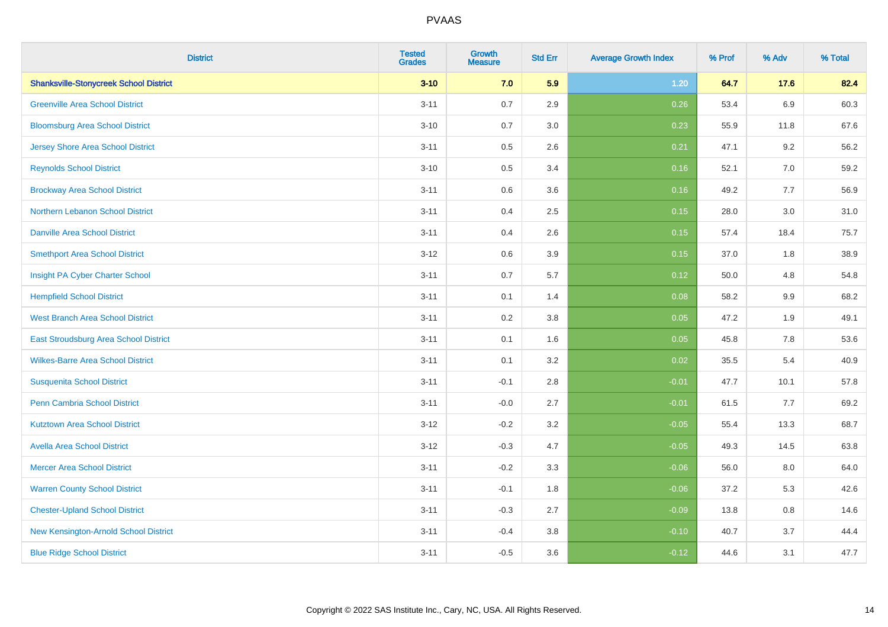| <b>District</b>                               | <b>Tested</b><br><b>Grades</b> | Growth<br><b>Measure</b> | <b>Std Err</b> | <b>Average Growth Index</b> | % Prof | % Adv   | % Total |
|-----------------------------------------------|--------------------------------|--------------------------|----------------|-----------------------------|--------|---------|---------|
| <b>Shanksville-Stonycreek School District</b> | $3 - 10$                       | 7.0                      | 5.9            | 1.20                        | 64.7   | 17.6    | 82.4    |
| <b>Greenville Area School District</b>        | $3 - 11$                       | 0.7                      | 2.9            | 0.26                        | 53.4   | 6.9     | 60.3    |
| <b>Bloomsburg Area School District</b>        | $3 - 10$                       | 0.7                      | 3.0            | 0.23                        | 55.9   | 11.8    | 67.6    |
| <b>Jersey Shore Area School District</b>      | $3 - 11$                       | 0.5                      | 2.6            | 0.21                        | 47.1   | 9.2     | 56.2    |
| <b>Reynolds School District</b>               | $3 - 10$                       | 0.5                      | 3.4            | 0.16                        | 52.1   | 7.0     | 59.2    |
| <b>Brockway Area School District</b>          | $3 - 11$                       | 0.6                      | 3.6            | 0.16                        | 49.2   | 7.7     | 56.9    |
| Northern Lebanon School District              | $3 - 11$                       | 0.4                      | 2.5            | 0.15                        | 28.0   | 3.0     | 31.0    |
| <b>Danville Area School District</b>          | $3 - 11$                       | 0.4                      | 2.6            | 0.15                        | 57.4   | 18.4    | 75.7    |
| <b>Smethport Area School District</b>         | $3 - 12$                       | 0.6                      | 3.9            | 0.15                        | 37.0   | 1.8     | 38.9    |
| Insight PA Cyber Charter School               | $3 - 11$                       | 0.7                      | 5.7            | 0.12                        | 50.0   | 4.8     | 54.8    |
| <b>Hempfield School District</b>              | $3 - 11$                       | 0.1                      | 1.4            | 0.08                        | 58.2   | 9.9     | 68.2    |
| <b>West Branch Area School District</b>       | $3 - 11$                       | 0.2                      | 3.8            | 0.05                        | 47.2   | 1.9     | 49.1    |
| East Stroudsburg Area School District         | $3 - 11$                       | 0.1                      | 1.6            | 0.05                        | 45.8   | $7.8\,$ | 53.6    |
| <b>Wilkes-Barre Area School District</b>      | $3 - 11$                       | 0.1                      | 3.2            | 0.02                        | 35.5   | 5.4     | 40.9    |
| <b>Susquenita School District</b>             | $3 - 11$                       | $-0.1$                   | 2.8            | $-0.01$                     | 47.7   | 10.1    | 57.8    |
| <b>Penn Cambria School District</b>           | $3 - 11$                       | $-0.0$                   | 2.7            | $-0.01$                     | 61.5   | 7.7     | 69.2    |
| <b>Kutztown Area School District</b>          | $3 - 12$                       | $-0.2$                   | 3.2            | $-0.05$                     | 55.4   | 13.3    | 68.7    |
| <b>Avella Area School District</b>            | $3 - 12$                       | $-0.3$                   | 4.7            | $-0.05$                     | 49.3   | 14.5    | 63.8    |
| <b>Mercer Area School District</b>            | $3 - 11$                       | $-0.2$                   | 3.3            | $-0.06$                     | 56.0   | 8.0     | 64.0    |
| <b>Warren County School District</b>          | $3 - 11$                       | $-0.1$                   | 1.8            | $-0.06$                     | 37.2   | 5.3     | 42.6    |
| <b>Chester-Upland School District</b>         | $3 - 11$                       | $-0.3$                   | 2.7            | $-0.09$                     | 13.8   | 0.8     | 14.6    |
| New Kensington-Arnold School District         | $3 - 11$                       | $-0.4$                   | 3.8            | $-0.10$                     | 40.7   | 3.7     | 44.4    |
| <b>Blue Ridge School District</b>             | $3 - 11$                       | $-0.5$                   | 3.6            | $-0.12$                     | 44.6   | 3.1     | 47.7    |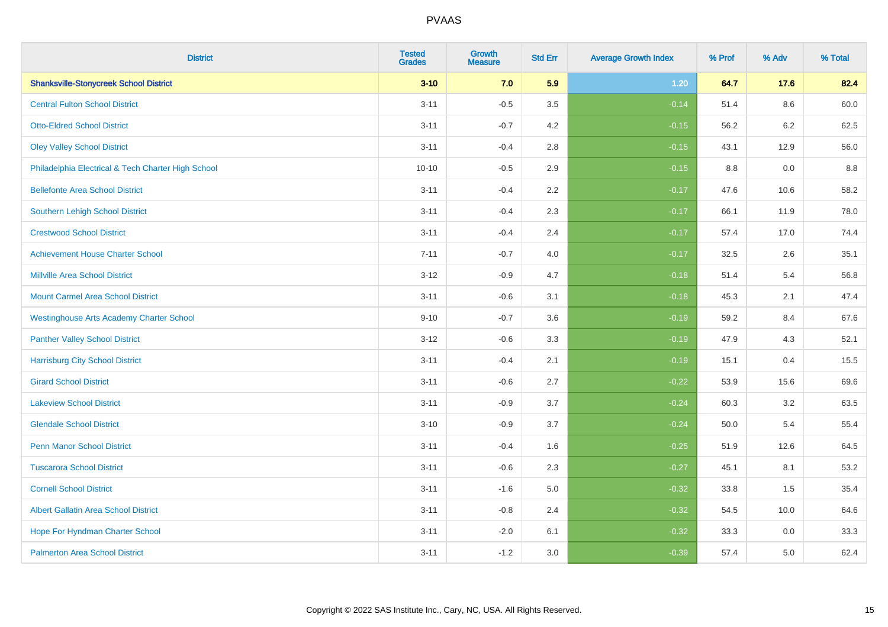| <b>District</b>                                    | <b>Tested</b><br><b>Grades</b> | <b>Growth</b><br><b>Measure</b> | <b>Std Err</b> | <b>Average Growth Index</b> | % Prof | % Adv   | % Total |
|----------------------------------------------------|--------------------------------|---------------------------------|----------------|-----------------------------|--------|---------|---------|
| <b>Shanksville-Stonycreek School District</b>      | $3 - 10$                       | 7.0                             | 5.9            | $1.20$                      | 64.7   | 17.6    | 82.4    |
| <b>Central Fulton School District</b>              | $3 - 11$                       | $-0.5$                          | 3.5            | $-0.14$                     | 51.4   | 8.6     | 60.0    |
| <b>Otto-Eldred School District</b>                 | $3 - 11$                       | $-0.7$                          | 4.2            | $-0.15$                     | 56.2   | $6.2\,$ | 62.5    |
| <b>Oley Valley School District</b>                 | $3 - 11$                       | $-0.4$                          | 2.8            | $-0.15$                     | 43.1   | 12.9    | 56.0    |
| Philadelphia Electrical & Tech Charter High School | $10 - 10$                      | $-0.5$                          | 2.9            | $-0.15$                     | 8.8    | 0.0     | 8.8     |
| <b>Bellefonte Area School District</b>             | $3 - 11$                       | $-0.4$                          | 2.2            | $-0.17$                     | 47.6   | 10.6    | 58.2    |
| Southern Lehigh School District                    | $3 - 11$                       | $-0.4$                          | 2.3            | $-0.17$                     | 66.1   | 11.9    | 78.0    |
| <b>Crestwood School District</b>                   | $3 - 11$                       | $-0.4$                          | 2.4            | $-0.17$                     | 57.4   | 17.0    | 74.4    |
| <b>Achievement House Charter School</b>            | $7 - 11$                       | $-0.7$                          | 4.0            | $-0.17$                     | 32.5   | 2.6     | 35.1    |
| <b>Millville Area School District</b>              | $3 - 12$                       | $-0.9$                          | 4.7            | $-0.18$                     | 51.4   | 5.4     | 56.8    |
| <b>Mount Carmel Area School District</b>           | $3 - 11$                       | $-0.6$                          | 3.1            | $-0.18$                     | 45.3   | 2.1     | 47.4    |
| <b>Westinghouse Arts Academy Charter School</b>    | $9 - 10$                       | $-0.7$                          | 3.6            | $-0.19$                     | 59.2   | 8.4     | 67.6    |
| <b>Panther Valley School District</b>              | $3 - 12$                       | $-0.6$                          | 3.3            | $-0.19$                     | 47.9   | 4.3     | 52.1    |
| <b>Harrisburg City School District</b>             | $3 - 11$                       | $-0.4$                          | 2.1            | $-0.19$                     | 15.1   | 0.4     | 15.5    |
| <b>Girard School District</b>                      | $3 - 11$                       | $-0.6$                          | 2.7            | $-0.22$                     | 53.9   | 15.6    | 69.6    |
| <b>Lakeview School District</b>                    | $3 - 11$                       | $-0.9$                          | 3.7            | $-0.24$                     | 60.3   | 3.2     | 63.5    |
| <b>Glendale School District</b>                    | $3 - 10$                       | $-0.9$                          | 3.7            | $-0.24$                     | 50.0   | 5.4     | 55.4    |
| <b>Penn Manor School District</b>                  | $3 - 11$                       | $-0.4$                          | 1.6            | $-0.25$                     | 51.9   | 12.6    | 64.5    |
| <b>Tuscarora School District</b>                   | $3 - 11$                       | $-0.6$                          | 2.3            | $-0.27$                     | 45.1   | 8.1     | 53.2    |
| <b>Cornell School District</b>                     | $3 - 11$                       | $-1.6$                          | 5.0            | $-0.32$                     | 33.8   | 1.5     | 35.4    |
| <b>Albert Gallatin Area School District</b>        | $3 - 11$                       | $-0.8$                          | 2.4            | $-0.32$                     | 54.5   | 10.0    | 64.6    |
| Hope For Hyndman Charter School                    | $3 - 11$                       | $-2.0$                          | 6.1            | $-0.32$                     | 33.3   | 0.0     | 33.3    |
| <b>Palmerton Area School District</b>              | $3 - 11$                       | $-1.2$                          | 3.0            | $-0.39$                     | 57.4   | 5.0     | 62.4    |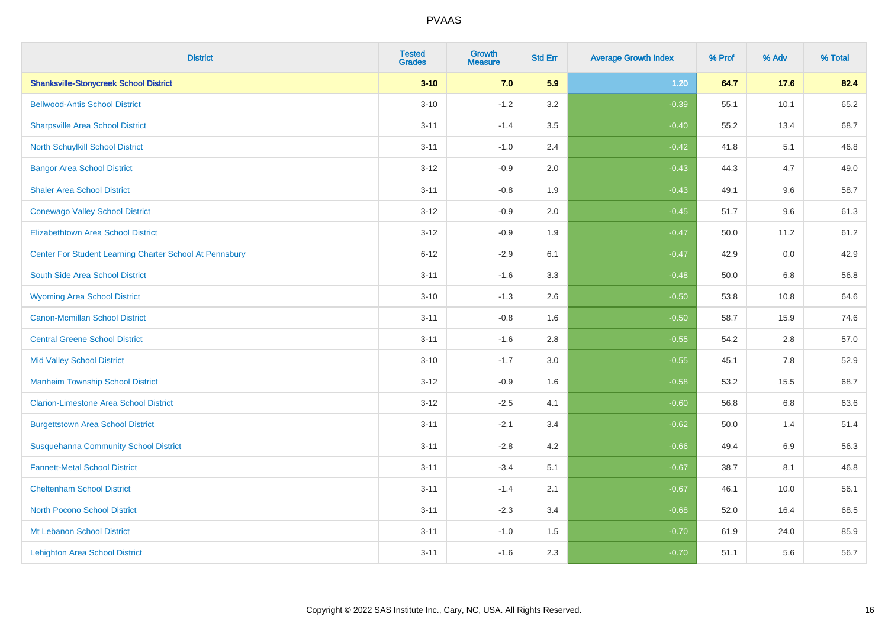| <b>District</b>                                         | <b>Tested</b><br><b>Grades</b> | <b>Growth</b><br><b>Measure</b> | <b>Std Err</b> | <b>Average Growth Index</b> | % Prof | % Adv   | % Total |
|---------------------------------------------------------|--------------------------------|---------------------------------|----------------|-----------------------------|--------|---------|---------|
| <b>Shanksville-Stonycreek School District</b>           | $3 - 10$                       | 7.0                             | 5.9            | 1.20                        | 64.7   | 17.6    | 82.4    |
| <b>Bellwood-Antis School District</b>                   | $3 - 10$                       | $-1.2$                          | 3.2            | $-0.39$                     | 55.1   | 10.1    | 65.2    |
| <b>Sharpsville Area School District</b>                 | $3 - 11$                       | $-1.4$                          | 3.5            | $-0.40$                     | 55.2   | 13.4    | 68.7    |
| North Schuylkill School District                        | $3 - 11$                       | $-1.0$                          | 2.4            | $-0.42$                     | 41.8   | 5.1     | 46.8    |
| <b>Bangor Area School District</b>                      | $3 - 12$                       | $-0.9$                          | 2.0            | $-0.43$                     | 44.3   | 4.7     | 49.0    |
| <b>Shaler Area School District</b>                      | $3 - 11$                       | $-0.8$                          | 1.9            | $-0.43$                     | 49.1   | 9.6     | 58.7    |
| <b>Conewago Valley School District</b>                  | $3 - 12$                       | $-0.9$                          | 2.0            | $-0.45$                     | 51.7   | 9.6     | 61.3    |
| <b>Elizabethtown Area School District</b>               | $3 - 12$                       | $-0.9$                          | 1.9            | $-0.47$                     | 50.0   | 11.2    | 61.2    |
| Center For Student Learning Charter School At Pennsbury | $6 - 12$                       | $-2.9$                          | 6.1            | $-0.47$                     | 42.9   | 0.0     | 42.9    |
| South Side Area School District                         | $3 - 11$                       | $-1.6$                          | 3.3            | $-0.48$                     | 50.0   | 6.8     | 56.8    |
| <b>Wyoming Area School District</b>                     | $3 - 10$                       | $-1.3$                          | 2.6            | $-0.50$                     | 53.8   | 10.8    | 64.6    |
| <b>Canon-Mcmillan School District</b>                   | $3 - 11$                       | $-0.8$                          | 1.6            | $-0.50$                     | 58.7   | 15.9    | 74.6    |
| <b>Central Greene School District</b>                   | $3 - 11$                       | $-1.6$                          | 2.8            | $-0.55$                     | 54.2   | $2.8\,$ | 57.0    |
| <b>Mid Valley School District</b>                       | $3 - 10$                       | $-1.7$                          | 3.0            | $-0.55$                     | 45.1   | 7.8     | 52.9    |
| <b>Manheim Township School District</b>                 | $3 - 12$                       | $-0.9$                          | 1.6            | $-0.58$                     | 53.2   | 15.5    | 68.7    |
| <b>Clarion-Limestone Area School District</b>           | $3 - 12$                       | $-2.5$                          | 4.1            | $-0.60$                     | 56.8   | $6.8\,$ | 63.6    |
| <b>Burgettstown Area School District</b>                | $3 - 11$                       | $-2.1$                          | 3.4            | $-0.62$                     | 50.0   | 1.4     | 51.4    |
| <b>Susquehanna Community School District</b>            | $3 - 11$                       | $-2.8$                          | 4.2            | $-0.66$                     | 49.4   | 6.9     | 56.3    |
| <b>Fannett-Metal School District</b>                    | $3 - 11$                       | $-3.4$                          | 5.1            | $-0.67$                     | 38.7   | 8.1     | 46.8    |
| <b>Cheltenham School District</b>                       | $3 - 11$                       | $-1.4$                          | 2.1            | $-0.67$                     | 46.1   | 10.0    | 56.1    |
| <b>North Pocono School District</b>                     | $3 - 11$                       | $-2.3$                          | 3.4            | $-0.68$                     | 52.0   | 16.4    | 68.5    |
| Mt Lebanon School District                              | $3 - 11$                       | $-1.0$                          | 1.5            | $-0.70$                     | 61.9   | 24.0    | 85.9    |
| <b>Lehighton Area School District</b>                   | $3 - 11$                       | $-1.6$                          | 2.3            | $-0.70$                     | 51.1   | 5.6     | 56.7    |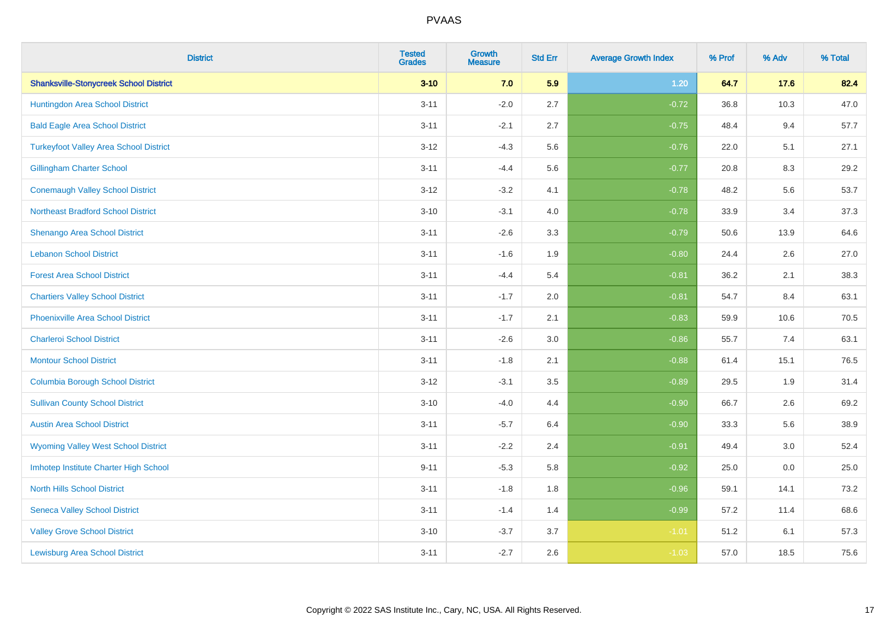| <b>District</b>                               | <b>Tested</b><br><b>Grades</b> | <b>Growth</b><br><b>Measure</b> | <b>Std Err</b> | <b>Average Growth Index</b> | % Prof | % Adv | % Total |
|-----------------------------------------------|--------------------------------|---------------------------------|----------------|-----------------------------|--------|-------|---------|
| <b>Shanksville-Stonycreek School District</b> | $3 - 10$                       | 7.0                             | 5.9            | $1.20$                      | 64.7   | 17.6  | 82.4    |
| Huntingdon Area School District               | $3 - 11$                       | $-2.0$                          | 2.7            | $-0.72$                     | 36.8   | 10.3  | 47.0    |
| <b>Bald Eagle Area School District</b>        | $3 - 11$                       | $-2.1$                          | 2.7            | $-0.75$                     | 48.4   | 9.4   | 57.7    |
| <b>Turkeyfoot Valley Area School District</b> | $3 - 12$                       | $-4.3$                          | 5.6            | $-0.76$                     | 22.0   | 5.1   | 27.1    |
| <b>Gillingham Charter School</b>              | $3 - 11$                       | $-4.4$                          | 5.6            | $-0.77$                     | 20.8   | 8.3   | 29.2    |
| <b>Conemaugh Valley School District</b>       | $3 - 12$                       | $-3.2$                          | 4.1            | $-0.78$                     | 48.2   | 5.6   | 53.7    |
| <b>Northeast Bradford School District</b>     | $3 - 10$                       | $-3.1$                          | 4.0            | $-0.78$                     | 33.9   | 3.4   | 37.3    |
| <b>Shenango Area School District</b>          | $3 - 11$                       | $-2.6$                          | 3.3            | $-0.79$                     | 50.6   | 13.9  | 64.6    |
| <b>Lebanon School District</b>                | $3 - 11$                       | $-1.6$                          | 1.9            | $-0.80$                     | 24.4   | 2.6   | 27.0    |
| <b>Forest Area School District</b>            | $3 - 11$                       | $-4.4$                          | 5.4            | $-0.81$                     | 36.2   | 2.1   | 38.3    |
| <b>Chartiers Valley School District</b>       | $3 - 11$                       | $-1.7$                          | 2.0            | $-0.81$                     | 54.7   | 8.4   | 63.1    |
| <b>Phoenixville Area School District</b>      | $3 - 11$                       | $-1.7$                          | 2.1            | $-0.83$                     | 59.9   | 10.6  | 70.5    |
| <b>Charleroi School District</b>              | $3 - 11$                       | $-2.6$                          | 3.0            | $-0.86$                     | 55.7   | 7.4   | 63.1    |
| <b>Montour School District</b>                | $3 - 11$                       | $-1.8$                          | 2.1            | $-0.88$                     | 61.4   | 15.1  | 76.5    |
| <b>Columbia Borough School District</b>       | $3 - 12$                       | $-3.1$                          | 3.5            | $-0.89$                     | 29.5   | 1.9   | 31.4    |
| <b>Sullivan County School District</b>        | $3 - 10$                       | $-4.0$                          | 4.4            | $-0.90$                     | 66.7   | 2.6   | 69.2    |
| <b>Austin Area School District</b>            | $3 - 11$                       | $-5.7$                          | 6.4            | $-0.90$                     | 33.3   | 5.6   | 38.9    |
| <b>Wyoming Valley West School District</b>    | $3 - 11$                       | $-2.2$                          | 2.4            | $-0.91$                     | 49.4   | 3.0   | 52.4    |
| Imhotep Institute Charter High School         | $9 - 11$                       | $-5.3$                          | 5.8            | $-0.92$                     | 25.0   | 0.0   | 25.0    |
| <b>North Hills School District</b>            | $3 - 11$                       | $-1.8$                          | 1.8            | $-0.96$                     | 59.1   | 14.1  | 73.2    |
| <b>Seneca Valley School District</b>          | $3 - 11$                       | $-1.4$                          | 1.4            | $-0.99$                     | 57.2   | 11.4  | 68.6    |
| <b>Valley Grove School District</b>           | $3 - 10$                       | $-3.7$                          | 3.7            | $-1.01$                     | 51.2   | 6.1   | 57.3    |
| <b>Lewisburg Area School District</b>         | $3 - 11$                       | $-2.7$                          | 2.6            | $-1.03$                     | 57.0   | 18.5  | 75.6    |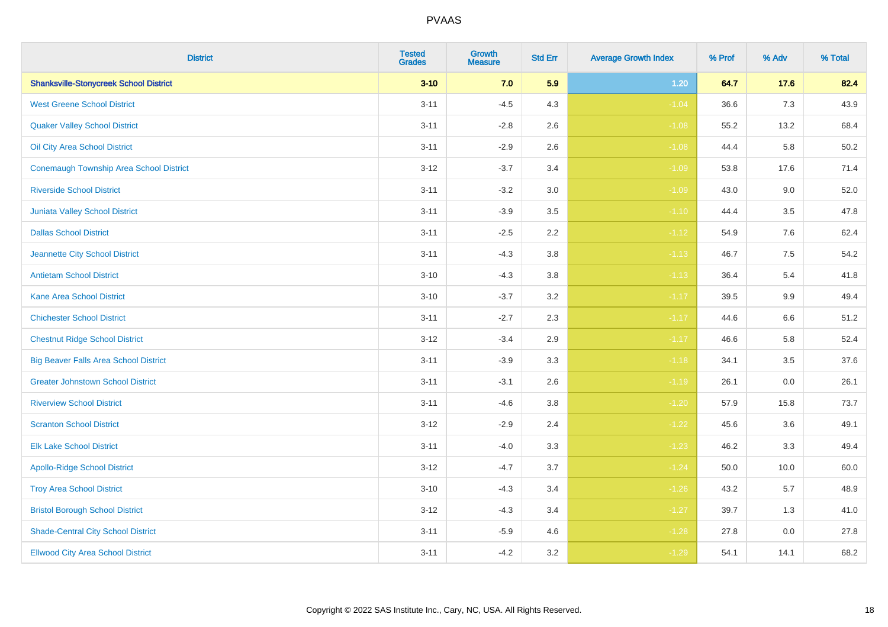| <b>District</b>                                | <b>Tested</b><br><b>Grades</b> | <b>Growth</b><br><b>Measure</b> | <b>Std Err</b> | <b>Average Growth Index</b> | % Prof | % Adv   | % Total |
|------------------------------------------------|--------------------------------|---------------------------------|----------------|-----------------------------|--------|---------|---------|
| <b>Shanksville-Stonycreek School District</b>  | $3 - 10$                       | 7.0                             | 5.9            | $1.20$                      | 64.7   | 17.6    | 82.4    |
| <b>West Greene School District</b>             | $3 - 11$                       | $-4.5$                          | 4.3            | $-1.04$                     | 36.6   | 7.3     | 43.9    |
| <b>Quaker Valley School District</b>           | $3 - 11$                       | $-2.8$                          | 2.6            | $-1.08$                     | 55.2   | 13.2    | 68.4    |
| Oil City Area School District                  | $3 - 11$                       | $-2.9$                          | 2.6            | $-1.08$                     | 44.4   | 5.8     | 50.2    |
| <b>Conemaugh Township Area School District</b> | $3 - 12$                       | $-3.7$                          | 3.4            | $-1.09$                     | 53.8   | 17.6    | 71.4    |
| <b>Riverside School District</b>               | $3 - 11$                       | $-3.2$                          | 3.0            | $-1.09$                     | 43.0   | 9.0     | 52.0    |
| Juniata Valley School District                 | $3 - 11$                       | $-3.9$                          | 3.5            | $-1.10$                     | 44.4   | $3.5\,$ | 47.8    |
| <b>Dallas School District</b>                  | $3 - 11$                       | $-2.5$                          | 2.2            | $-1.12$                     | 54.9   | 7.6     | 62.4    |
| Jeannette City School District                 | $3 - 11$                       | $-4.3$                          | 3.8            | $-1.13$                     | 46.7   | 7.5     | 54.2    |
| <b>Antietam School District</b>                | $3 - 10$                       | $-4.3$                          | 3.8            | $-1.13$                     | 36.4   | 5.4     | 41.8    |
| <b>Kane Area School District</b>               | $3 - 10$                       | $-3.7$                          | 3.2            | $-1.17$                     | 39.5   | 9.9     | 49.4    |
| <b>Chichester School District</b>              | $3 - 11$                       | $-2.7$                          | 2.3            | $-1.17$                     | 44.6   | 6.6     | 51.2    |
| <b>Chestnut Ridge School District</b>          | $3 - 12$                       | $-3.4$                          | 2.9            | $-1.17$                     | 46.6   | 5.8     | 52.4    |
| <b>Big Beaver Falls Area School District</b>   | $3 - 11$                       | $-3.9$                          | 3.3            | $-1.18$                     | 34.1   | 3.5     | 37.6    |
| <b>Greater Johnstown School District</b>       | $3 - 11$                       | $-3.1$                          | 2.6            | $-1.19$                     | 26.1   | 0.0     | 26.1    |
| <b>Riverview School District</b>               | $3 - 11$                       | $-4.6$                          | 3.8            | $-1.20$                     | 57.9   | 15.8    | 73.7    |
| <b>Scranton School District</b>                | $3 - 12$                       | $-2.9$                          | 2.4            | $-1.22$                     | 45.6   | 3.6     | 49.1    |
| <b>Elk Lake School District</b>                | $3 - 11$                       | $-4.0$                          | 3.3            | $-1.23$                     | 46.2   | 3.3     | 49.4    |
| <b>Apollo-Ridge School District</b>            | $3 - 12$                       | $-4.7$                          | 3.7            | $-1.24$                     | 50.0   | 10.0    | 60.0    |
| <b>Troy Area School District</b>               | $3 - 10$                       | $-4.3$                          | 3.4            | $-1.26$                     | 43.2   | 5.7     | 48.9    |
| <b>Bristol Borough School District</b>         | $3 - 12$                       | $-4.3$                          | 3.4            | $-1.27$                     | 39.7   | 1.3     | 41.0    |
| <b>Shade-Central City School District</b>      | $3 - 11$                       | $-5.9$                          | 4.6            | $-1.28$                     | 27.8   | 0.0     | 27.8    |
| <b>Ellwood City Area School District</b>       | $3 - 11$                       | $-4.2$                          | 3.2            | $-1.29$                     | 54.1   | 14.1    | 68.2    |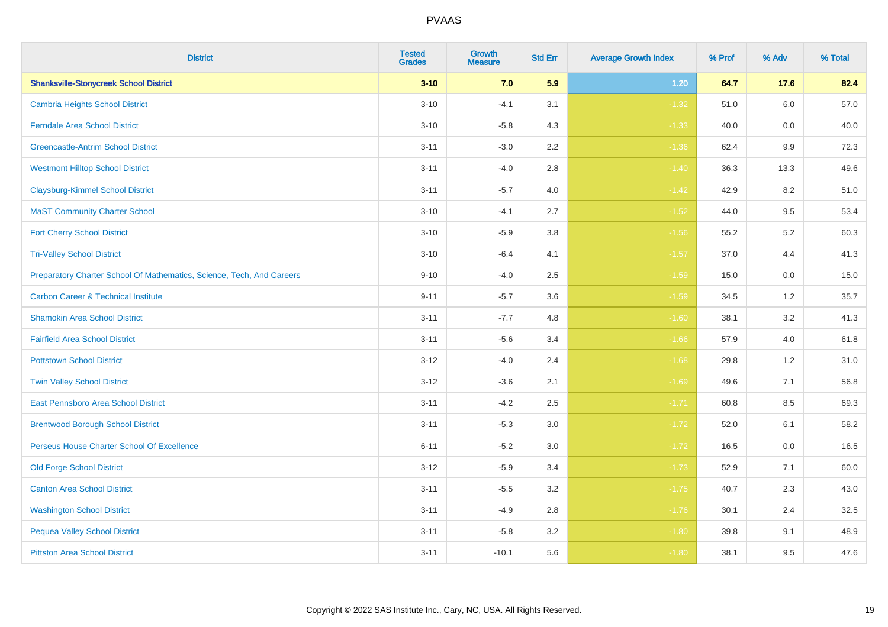| <b>District</b>                                                       | <b>Tested</b><br><b>Grades</b> | <b>Growth</b><br><b>Measure</b> | <b>Std Err</b> | <b>Average Growth Index</b> | % Prof | % Adv   | % Total |
|-----------------------------------------------------------------------|--------------------------------|---------------------------------|----------------|-----------------------------|--------|---------|---------|
| <b>Shanksville-Stonycreek School District</b>                         | $3 - 10$                       | 7.0                             | 5.9            | $1.20$                      | 64.7   | 17.6    | 82.4    |
| <b>Cambria Heights School District</b>                                | $3 - 10$                       | $-4.1$                          | 3.1            | $-1.32$                     | 51.0   | $6.0\,$ | 57.0    |
| <b>Ferndale Area School District</b>                                  | $3 - 10$                       | $-5.8$                          | 4.3            | $-1.33$                     | 40.0   | 0.0     | 40.0    |
| <b>Greencastle-Antrim School District</b>                             | $3 - 11$                       | $-3.0$                          | 2.2            | $-1.36$                     | 62.4   | $9.9\,$ | 72.3    |
| <b>Westmont Hilltop School District</b>                               | $3 - 11$                       | $-4.0$                          | 2.8            | $-1.40$                     | 36.3   | 13.3    | 49.6    |
| <b>Claysburg-Kimmel School District</b>                               | $3 - 11$                       | $-5.7$                          | 4.0            | $-1.42$                     | 42.9   | 8.2     | 51.0    |
| <b>MaST Community Charter School</b>                                  | $3 - 10$                       | $-4.1$                          | 2.7            | $-1.52$                     | 44.0   | 9.5     | 53.4    |
| <b>Fort Cherry School District</b>                                    | $3 - 10$                       | $-5.9$                          | 3.8            | $-1.56$                     | 55.2   | 5.2     | 60.3    |
| <b>Tri-Valley School District</b>                                     | $3 - 10$                       | $-6.4$                          | 4.1            | $-1.57$                     | 37.0   | 4.4     | 41.3    |
| Preparatory Charter School Of Mathematics, Science, Tech, And Careers | $9 - 10$                       | $-4.0$                          | 2.5            | $-1.59$                     | 15.0   | 0.0     | 15.0    |
| <b>Carbon Career &amp; Technical Institute</b>                        | $9 - 11$                       | $-5.7$                          | 3.6            | $-1.59$                     | 34.5   | 1.2     | 35.7    |
| <b>Shamokin Area School District</b>                                  | $3 - 11$                       | $-7.7$                          | 4.8            | $-1.60$                     | 38.1   | 3.2     | 41.3    |
| <b>Fairfield Area School District</b>                                 | $3 - 11$                       | $-5.6$                          | 3.4            | $-1.66$                     | 57.9   | 4.0     | 61.8    |
| <b>Pottstown School District</b>                                      | $3 - 12$                       | $-4.0$                          | 2.4            | $-1.68$                     | 29.8   | 1.2     | 31.0    |
| <b>Twin Valley School District</b>                                    | $3 - 12$                       | $-3.6$                          | 2.1            | $-1.69$                     | 49.6   | 7.1     | 56.8    |
| East Pennsboro Area School District                                   | $3 - 11$                       | $-4.2$                          | 2.5            | $-1.71$                     | 60.8   | 8.5     | 69.3    |
| <b>Brentwood Borough School District</b>                              | $3 - 11$                       | $-5.3$                          | 3.0            | $-1.72$                     | 52.0   | 6.1     | 58.2    |
| Perseus House Charter School Of Excellence                            | $6 - 11$                       | $-5.2$                          | 3.0            | $-1.72$                     | 16.5   | 0.0     | 16.5    |
| <b>Old Forge School District</b>                                      | $3 - 12$                       | $-5.9$                          | 3.4            | $-1.73$                     | 52.9   | 7.1     | 60.0    |
| <b>Canton Area School District</b>                                    | $3 - 11$                       | $-5.5$                          | 3.2            | $-1.75$                     | 40.7   | 2.3     | 43.0    |
| <b>Washington School District</b>                                     | $3 - 11$                       | $-4.9$                          | 2.8            | $-1.76$                     | 30.1   | 2.4     | 32.5    |
| <b>Pequea Valley School District</b>                                  | $3 - 11$                       | $-5.8$                          | 3.2            | $-1.80$                     | 39.8   | 9.1     | 48.9    |
| <b>Pittston Area School District</b>                                  | $3 - 11$                       | $-10.1$                         | 5.6            | $-1.80$                     | 38.1   | 9.5     | 47.6    |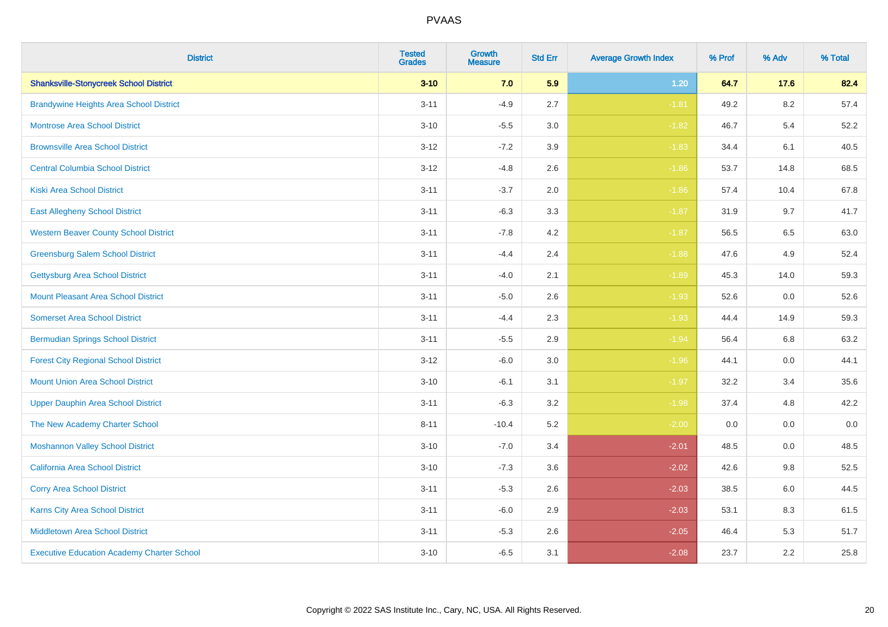| <b>District</b>                                   | <b>Tested</b><br><b>Grades</b> | Growth<br><b>Measure</b> | <b>Std Err</b> | <b>Average Growth Index</b> | % Prof | % Adv | % Total |
|---------------------------------------------------|--------------------------------|--------------------------|----------------|-----------------------------|--------|-------|---------|
| <b>Shanksville-Stonycreek School District</b>     | $3 - 10$                       | 7.0                      | 5.9            | 1.20                        | 64.7   | 17.6  | 82.4    |
| <b>Brandywine Heights Area School District</b>    | $3 - 11$                       | $-4.9$                   | 2.7            | $-1.81$                     | 49.2   | 8.2   | 57.4    |
| <b>Montrose Area School District</b>              | $3 - 10$                       | $-5.5$                   | 3.0            | $-1.82$                     | 46.7   | 5.4   | 52.2    |
| <b>Brownsville Area School District</b>           | $3 - 12$                       | $-7.2$                   | 3.9            | $-1.83$                     | 34.4   | 6.1   | 40.5    |
| <b>Central Columbia School District</b>           | $3 - 12$                       | $-4.8$                   | 2.6            | $-1.86$                     | 53.7   | 14.8  | 68.5    |
| <b>Kiski Area School District</b>                 | $3 - 11$                       | $-3.7$                   | 2.0            | $-1.86$                     | 57.4   | 10.4  | 67.8    |
| <b>East Allegheny School District</b>             | $3 - 11$                       | $-6.3$                   | 3.3            | $-1.87$                     | 31.9   | 9.7   | 41.7    |
| <b>Western Beaver County School District</b>      | $3 - 11$                       | $-7.8$                   | 4.2            | $-1.87$                     | 56.5   | 6.5   | 63.0    |
| <b>Greensburg Salem School District</b>           | $3 - 11$                       | $-4.4$                   | 2.4            | $-1.88$                     | 47.6   | 4.9   | 52.4    |
| <b>Gettysburg Area School District</b>            | $3 - 11$                       | $-4.0$                   | 2.1            | $-1.89$                     | 45.3   | 14.0  | 59.3    |
| <b>Mount Pleasant Area School District</b>        | $3 - 11$                       | $-5.0$                   | 2.6            | $-1.93$                     | 52.6   | 0.0   | 52.6    |
| <b>Somerset Area School District</b>              | $3 - 11$                       | $-4.4$                   | 2.3            | $-1.93$                     | 44.4   | 14.9  | 59.3    |
| <b>Bermudian Springs School District</b>          | $3 - 11$                       | $-5.5$                   | 2.9            | $-1.94$                     | 56.4   | 6.8   | 63.2    |
| <b>Forest City Regional School District</b>       | $3 - 12$                       | $-6.0$                   | 3.0            | $-1.96$                     | 44.1   | 0.0   | 44.1    |
| <b>Mount Union Area School District</b>           | $3 - 10$                       | $-6.1$                   | 3.1            | $-1.97$                     | 32.2   | 3.4   | 35.6    |
| <b>Upper Dauphin Area School District</b>         | $3 - 11$                       | $-6.3$                   | 3.2            | $-1.98$                     | 37.4   | 4.8   | 42.2    |
| The New Academy Charter School                    | $8 - 11$                       | $-10.4$                  | 5.2            | $-2.00$                     | 0.0    | 0.0   | 0.0     |
| <b>Moshannon Valley School District</b>           | $3 - 10$                       | $-7.0$                   | 3.4            | $-2.01$                     | 48.5   | 0.0   | 48.5    |
| <b>California Area School District</b>            | $3 - 10$                       | $-7.3$                   | 3.6            | $-2.02$                     | 42.6   | 9.8   | 52.5    |
| <b>Corry Area School District</b>                 | $3 - 11$                       | $-5.3$                   | 2.6            | $-2.03$                     | 38.5   | 6.0   | 44.5    |
| Karns City Area School District                   | $3 - 11$                       | $-6.0$                   | 2.9            | $-2.03$                     | 53.1   | 8.3   | 61.5    |
| <b>Middletown Area School District</b>            | $3 - 11$                       | $-5.3$                   | 2.6            | $-2.05$                     | 46.4   | 5.3   | 51.7    |
| <b>Executive Education Academy Charter School</b> | $3 - 10$                       | $-6.5$                   | 3.1            | $-2.08$                     | 23.7   | 2.2   | 25.8    |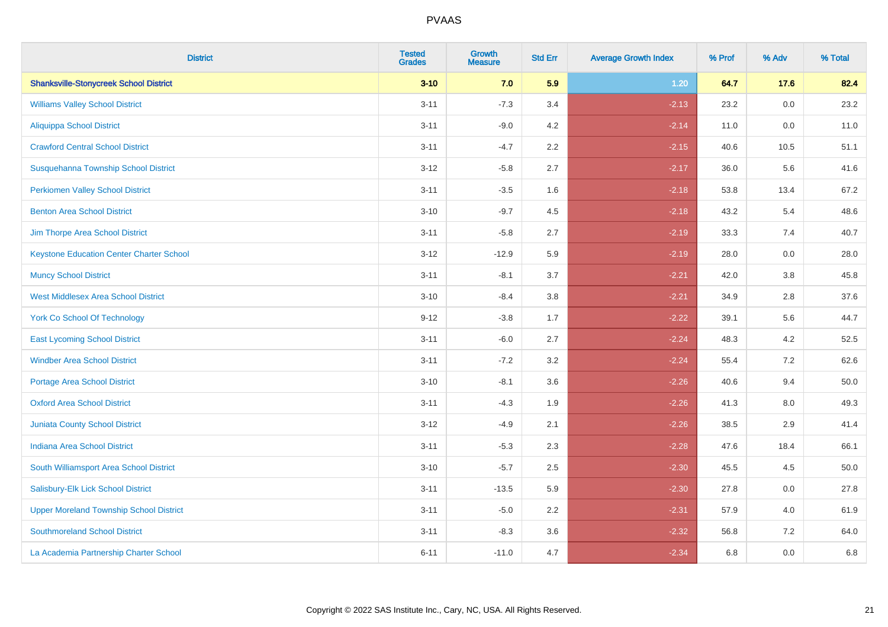| <b>District</b>                                 | <b>Tested</b><br><b>Grades</b> | <b>Growth</b><br><b>Measure</b> | <b>Std Err</b> | <b>Average Growth Index</b> | % Prof | % Adv   | % Total |
|-------------------------------------------------|--------------------------------|---------------------------------|----------------|-----------------------------|--------|---------|---------|
| <b>Shanksville-Stonycreek School District</b>   | $3 - 10$                       | 7.0                             | 5.9            | 1.20                        | 64.7   | 17.6    | 82.4    |
| <b>Williams Valley School District</b>          | $3 - 11$                       | $-7.3$                          | 3.4            | $-2.13$                     | 23.2   | 0.0     | 23.2    |
| <b>Aliquippa School District</b>                | $3 - 11$                       | $-9.0$                          | 4.2            | $-2.14$                     | 11.0   | 0.0     | 11.0    |
| <b>Crawford Central School District</b>         | $3 - 11$                       | $-4.7$                          | 2.2            | $-2.15$                     | 40.6   | 10.5    | 51.1    |
| Susquehanna Township School District            | $3 - 12$                       | $-5.8$                          | 2.7            | $-2.17$                     | 36.0   | 5.6     | 41.6    |
| <b>Perkiomen Valley School District</b>         | $3 - 11$                       | $-3.5$                          | 1.6            | $-2.18$                     | 53.8   | 13.4    | 67.2    |
| <b>Benton Area School District</b>              | $3 - 10$                       | $-9.7$                          | 4.5            | $-2.18$                     | 43.2   | 5.4     | 48.6    |
| Jim Thorpe Area School District                 | $3 - 11$                       | $-5.8$                          | 2.7            | $-2.19$                     | 33.3   | 7.4     | 40.7    |
| <b>Keystone Education Center Charter School</b> | $3 - 12$                       | $-12.9$                         | 5.9            | $-2.19$                     | 28.0   | $0.0\,$ | 28.0    |
| <b>Muncy School District</b>                    | $3 - 11$                       | $-8.1$                          | 3.7            | $-2.21$                     | 42.0   | 3.8     | 45.8    |
| <b>West Middlesex Area School District</b>      | $3 - 10$                       | $-8.4$                          | 3.8            | $-2.21$                     | 34.9   | 2.8     | 37.6    |
| <b>York Co School Of Technology</b>             | $9 - 12$                       | $-3.8$                          | 1.7            | $-2.22$                     | 39.1   | 5.6     | 44.7    |
| <b>East Lycoming School District</b>            | $3 - 11$                       | $-6.0$                          | 2.7            | $-2.24$                     | 48.3   | 4.2     | 52.5    |
| <b>Windber Area School District</b>             | $3 - 11$                       | $-7.2$                          | 3.2            | $-2.24$                     | 55.4   | 7.2     | 62.6    |
| Portage Area School District                    | $3 - 10$                       | $-8.1$                          | 3.6            | $-2.26$                     | 40.6   | 9.4     | 50.0    |
| <b>Oxford Area School District</b>              | $3 - 11$                       | $-4.3$                          | 1.9            | $-2.26$                     | 41.3   | 8.0     | 49.3    |
| <b>Juniata County School District</b>           | $3 - 12$                       | $-4.9$                          | 2.1            | $-2.26$                     | 38.5   | 2.9     | 41.4    |
| Indiana Area School District                    | $3 - 11$                       | $-5.3$                          | 2.3            | $-2.28$                     | 47.6   | 18.4    | 66.1    |
| South Williamsport Area School District         | $3 - 10$                       | $-5.7$                          | 2.5            | $-2.30$                     | 45.5   | 4.5     | 50.0    |
| Salisbury-Elk Lick School District              | $3 - 11$                       | $-13.5$                         | 5.9            | $-2.30$                     | 27.8   | 0.0     | 27.8    |
| <b>Upper Moreland Township School District</b>  | $3 - 11$                       | $-5.0$                          | 2.2            | $-2.31$                     | 57.9   | 4.0     | 61.9    |
| <b>Southmoreland School District</b>            | $3 - 11$                       | $-8.3$                          | 3.6            | $-2.32$                     | 56.8   | 7.2     | 64.0    |
| La Academia Partnership Charter School          | $6 - 11$                       | $-11.0$                         | 4.7            | $-2.34$                     | 6.8    | 0.0     | 6.8     |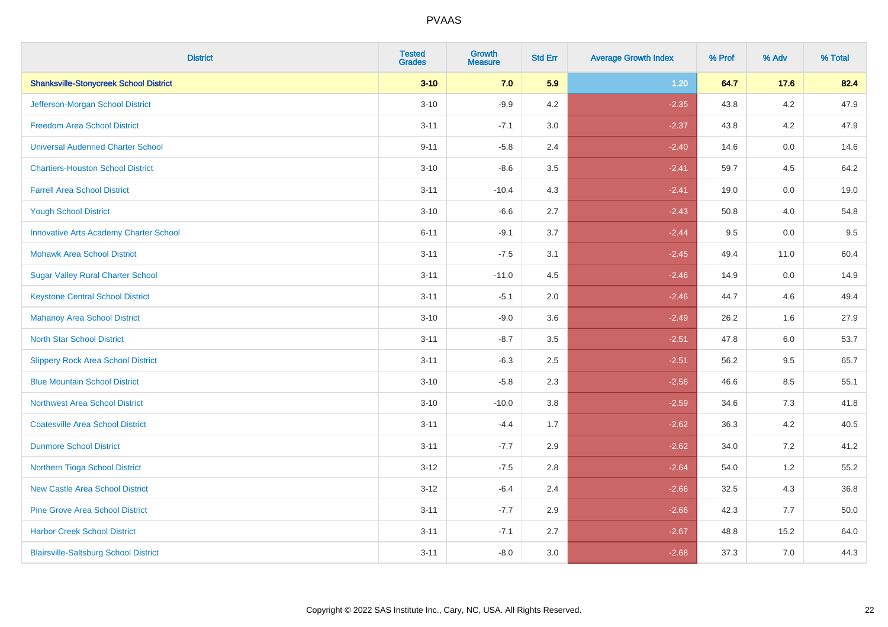| <b>District</b>                               | <b>Tested</b><br><b>Grades</b> | <b>Growth</b><br><b>Measure</b> | <b>Std Err</b> | <b>Average Growth Index</b> | % Prof | % Adv   | % Total |
|-----------------------------------------------|--------------------------------|---------------------------------|----------------|-----------------------------|--------|---------|---------|
| <b>Shanksville-Stonycreek School District</b> | $3 - 10$                       | 7.0                             | 5.9            | $1.20$                      | 64.7   | 17.6    | 82.4    |
| Jefferson-Morgan School District              | $3 - 10$                       | $-9.9$                          | 4.2            | $-2.35$                     | 43.8   | $4.2\,$ | 47.9    |
| <b>Freedom Area School District</b>           | $3 - 11$                       | $-7.1$                          | 3.0            | $-2.37$                     | 43.8   | 4.2     | 47.9    |
| <b>Universal Audenried Charter School</b>     | $9 - 11$                       | $-5.8$                          | 2.4            | $-2.40$                     | 14.6   | 0.0     | 14.6    |
| <b>Chartiers-Houston School District</b>      | $3 - 10$                       | $-8.6$                          | 3.5            | $-2.41$                     | 59.7   | 4.5     | 64.2    |
| <b>Farrell Area School District</b>           | $3 - 11$                       | $-10.4$                         | 4.3            | $-2.41$                     | 19.0   | 0.0     | 19.0    |
| <b>Yough School District</b>                  | $3 - 10$                       | $-6.6$                          | 2.7            | $-2.43$                     | 50.8   | 4.0     | 54.8    |
| <b>Innovative Arts Academy Charter School</b> | $6 - 11$                       | $-9.1$                          | 3.7            | $-2.44$                     | 9.5    | 0.0     | 9.5     |
| <b>Mohawk Area School District</b>            | $3 - 11$                       | $-7.5$                          | 3.1            | $-2.45$                     | 49.4   | 11.0    | 60.4    |
| <b>Sugar Valley Rural Charter School</b>      | $3 - 11$                       | $-11.0$                         | 4.5            | $-2.46$                     | 14.9   | 0.0     | 14.9    |
| <b>Keystone Central School District</b>       | $3 - 11$                       | $-5.1$                          | 2.0            | $-2.46$                     | 44.7   | 4.6     | 49.4    |
| <b>Mahanoy Area School District</b>           | $3 - 10$                       | $-9.0$                          | 3.6            | $-2.49$                     | 26.2   | 1.6     | 27.9    |
| <b>North Star School District</b>             | $3 - 11$                       | $-8.7$                          | 3.5            | $-2.51$                     | 47.8   | 6.0     | 53.7    |
| <b>Slippery Rock Area School District</b>     | $3 - 11$                       | $-6.3$                          | 2.5            | $-2.51$                     | 56.2   | 9.5     | 65.7    |
| <b>Blue Mountain School District</b>          | $3 - 10$                       | $-5.8$                          | 2.3            | $-2.56$                     | 46.6   | 8.5     | 55.1    |
| <b>Northwest Area School District</b>         | $3 - 10$                       | $-10.0$                         | 3.8            | $-2.59$                     | 34.6   | $7.3$   | 41.8    |
| <b>Coatesville Area School District</b>       | $3 - 11$                       | $-4.4$                          | 1.7            | $-2.62$                     | 36.3   | 4.2     | 40.5    |
| <b>Dunmore School District</b>                | $3 - 11$                       | $-7.7$                          | 2.9            | $-2.62$                     | 34.0   | 7.2     | 41.2    |
| Northern Tioga School District                | $3 - 12$                       | $-7.5$                          | 2.8            | $-2.64$                     | 54.0   | 1.2     | 55.2    |
| <b>New Castle Area School District</b>        | $3 - 12$                       | $-6.4$                          | 2.4            | $-2.66$                     | 32.5   | 4.3     | 36.8    |
| <b>Pine Grove Area School District</b>        | $3 - 11$                       | $-7.7$                          | 2.9            | $-2.66$                     | 42.3   | 7.7     | 50.0    |
| <b>Harbor Creek School District</b>           | $3 - 11$                       | $-7.1$                          | 2.7            | $-2.67$                     | 48.8   | 15.2    | 64.0    |
| <b>Blairsville-Saltsburg School District</b>  | $3 - 11$                       | $-8.0$                          | 3.0            | $-2.68$                     | 37.3   | 7.0     | 44.3    |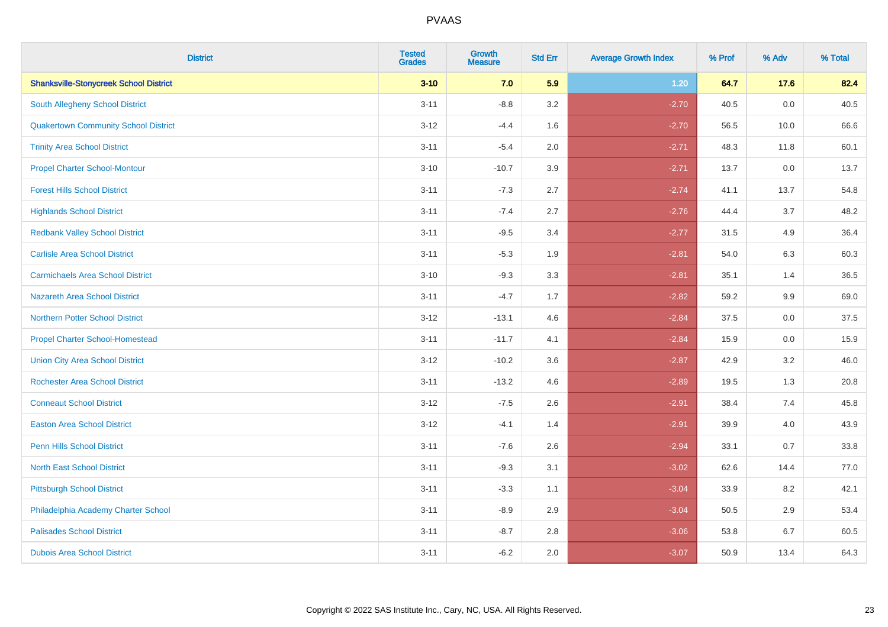| <b>District</b>                               | <b>Tested</b><br><b>Grades</b> | <b>Growth</b><br><b>Measure</b> | <b>Std Err</b> | <b>Average Growth Index</b> | % Prof | % Adv | % Total |
|-----------------------------------------------|--------------------------------|---------------------------------|----------------|-----------------------------|--------|-------|---------|
| <b>Shanksville-Stonycreek School District</b> | $3 - 10$                       | 7.0                             | 5.9            | 1.20                        | 64.7   | 17.6  | 82.4    |
| <b>South Allegheny School District</b>        | $3 - 11$                       | $-8.8$                          | 3.2            | $-2.70$                     | 40.5   | 0.0   | 40.5    |
| <b>Quakertown Community School District</b>   | $3 - 12$                       | $-4.4$                          | 1.6            | $-2.70$                     | 56.5   | 10.0  | 66.6    |
| <b>Trinity Area School District</b>           | $3 - 11$                       | $-5.4$                          | 2.0            | $-2.71$                     | 48.3   | 11.8  | 60.1    |
| <b>Propel Charter School-Montour</b>          | $3 - 10$                       | $-10.7$                         | 3.9            | $-2.71$                     | 13.7   | 0.0   | 13.7    |
| <b>Forest Hills School District</b>           | $3 - 11$                       | $-7.3$                          | 2.7            | $-2.74$                     | 41.1   | 13.7  | 54.8    |
| <b>Highlands School District</b>              | $3 - 11$                       | $-7.4$                          | 2.7            | $-2.76$                     | 44.4   | 3.7   | 48.2    |
| <b>Redbank Valley School District</b>         | $3 - 11$                       | $-9.5$                          | 3.4            | $-2.77$                     | 31.5   | 4.9   | 36.4    |
| <b>Carlisle Area School District</b>          | $3 - 11$                       | $-5.3$                          | 1.9            | $-2.81$                     | 54.0   | 6.3   | 60.3    |
| <b>Carmichaels Area School District</b>       | $3 - 10$                       | $-9.3$                          | 3.3            | $-2.81$                     | 35.1   | 1.4   | 36.5    |
| <b>Nazareth Area School District</b>          | $3 - 11$                       | $-4.7$                          | 1.7            | $-2.82$                     | 59.2   | 9.9   | 69.0    |
| <b>Northern Potter School District</b>        | $3 - 12$                       | $-13.1$                         | 4.6            | $-2.84$                     | 37.5   | 0.0   | 37.5    |
| <b>Propel Charter School-Homestead</b>        | $3 - 11$                       | $-11.7$                         | 4.1            | $-2.84$                     | 15.9   | 0.0   | 15.9    |
| <b>Union City Area School District</b>        | $3 - 12$                       | $-10.2$                         | 3.6            | $-2.87$                     | 42.9   | 3.2   | 46.0    |
| <b>Rochester Area School District</b>         | $3 - 11$                       | $-13.2$                         | 4.6            | $-2.89$                     | 19.5   | 1.3   | 20.8    |
| <b>Conneaut School District</b>               | $3 - 12$                       | $-7.5$                          | 2.6            | $-2.91$                     | 38.4   | 7.4   | 45.8    |
| <b>Easton Area School District</b>            | $3-12$                         | $-4.1$                          | 1.4            | $-2.91$                     | 39.9   | 4.0   | 43.9    |
| <b>Penn Hills School District</b>             | $3 - 11$                       | $-7.6$                          | 2.6            | $-2.94$                     | 33.1   | 0.7   | 33.8    |
| <b>North East School District</b>             | $3 - 11$                       | $-9.3$                          | 3.1            | $-3.02$                     | 62.6   | 14.4  | 77.0    |
| <b>Pittsburgh School District</b>             | $3 - 11$                       | $-3.3$                          | 1.1            | $-3.04$                     | 33.9   | 8.2   | 42.1    |
| Philadelphia Academy Charter School           | $3 - 11$                       | $-8.9$                          | 2.9            | $-3.04$                     | 50.5   | 2.9   | 53.4    |
| <b>Palisades School District</b>              | $3 - 11$                       | $-8.7$                          | 2.8            | $-3.06$                     | 53.8   | 6.7   | 60.5    |
| <b>Dubois Area School District</b>            | $3 - 11$                       | $-6.2$                          | 2.0            | $-3.07$                     | 50.9   | 13.4  | 64.3    |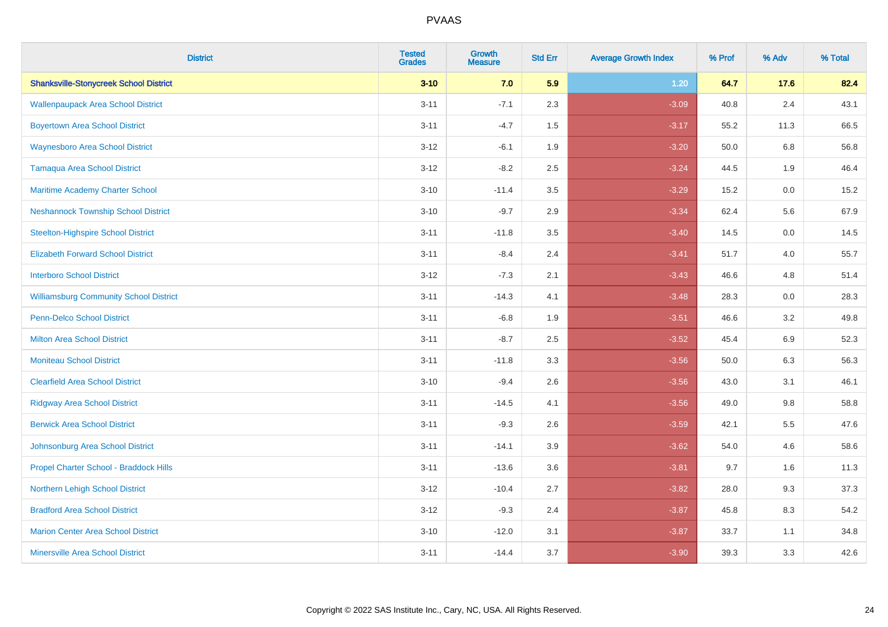| <b>District</b>                               | <b>Tested</b><br><b>Grades</b> | Growth<br><b>Measure</b> | <b>Std Err</b> | <b>Average Growth Index</b> | % Prof | % Adv   | % Total |
|-----------------------------------------------|--------------------------------|--------------------------|----------------|-----------------------------|--------|---------|---------|
| <b>Shanksville-Stonycreek School District</b> | $3 - 10$                       | 7.0                      | 5.9            | 1.20                        | 64.7   | 17.6    | 82.4    |
| <b>Wallenpaupack Area School District</b>     | $3 - 11$                       | $-7.1$                   | 2.3            | $-3.09$                     | 40.8   | 2.4     | 43.1    |
| <b>Boyertown Area School District</b>         | $3 - 11$                       | $-4.7$                   | 1.5            | $-3.17$                     | 55.2   | 11.3    | 66.5    |
| <b>Waynesboro Area School District</b>        | $3 - 12$                       | $-6.1$                   | 1.9            | $-3.20$                     | 50.0   | 6.8     | 56.8    |
| <b>Tamaqua Area School District</b>           | $3 - 12$                       | $-8.2$                   | 2.5            | $-3.24$                     | 44.5   | 1.9     | 46.4    |
| Maritime Academy Charter School               | $3 - 10$                       | $-11.4$                  | 3.5            | $-3.29$                     | 15.2   | $0.0\,$ | 15.2    |
| <b>Neshannock Township School District</b>    | $3 - 10$                       | $-9.7$                   | 2.9            | $-3.34$                     | 62.4   | 5.6     | 67.9    |
| <b>Steelton-Highspire School District</b>     | $3 - 11$                       | $-11.8$                  | 3.5            | $-3.40$                     | 14.5   | 0.0     | 14.5    |
| <b>Elizabeth Forward School District</b>      | $3 - 11$                       | $-8.4$                   | 2.4            | $-3.41$                     | 51.7   | 4.0     | 55.7    |
| <b>Interboro School District</b>              | $3 - 12$                       | $-7.3$                   | 2.1            | $-3.43$                     | 46.6   | 4.8     | 51.4    |
| <b>Williamsburg Community School District</b> | $3 - 11$                       | $-14.3$                  | 4.1            | $-3.48$                     | 28.3   | 0.0     | 28.3    |
| <b>Penn-Delco School District</b>             | $3 - 11$                       | $-6.8$                   | 1.9            | $-3.51$                     | 46.6   | 3.2     | 49.8    |
| <b>Milton Area School District</b>            | $3 - 11$                       | $-8.7$                   | 2.5            | $-3.52$                     | 45.4   | 6.9     | 52.3    |
| <b>Moniteau School District</b>               | $3 - 11$                       | $-11.8$                  | 3.3            | $-3.56$                     | 50.0   | 6.3     | 56.3    |
| <b>Clearfield Area School District</b>        | $3 - 10$                       | $-9.4$                   | 2.6            | $-3.56$                     | 43.0   | 3.1     | 46.1    |
| <b>Ridgway Area School District</b>           | $3 - 11$                       | $-14.5$                  | 4.1            | $-3.56$                     | 49.0   | 9.8     | 58.8    |
| <b>Berwick Area School District</b>           | $3 - 11$                       | $-9.3$                   | 2.6            | $-3.59$                     | 42.1   | 5.5     | 47.6    |
| Johnsonburg Area School District              | $3 - 11$                       | $-14.1$                  | 3.9            | $-3.62$                     | 54.0   | 4.6     | 58.6    |
| Propel Charter School - Braddock Hills        | $3 - 11$                       | $-13.6$                  | 3.6            | $-3.81$                     | 9.7    | 1.6     | 11.3    |
| Northern Lehigh School District               | $3 - 12$                       | $-10.4$                  | 2.7            | $-3.82$                     | 28.0   | 9.3     | 37.3    |
| <b>Bradford Area School District</b>          | $3 - 12$                       | $-9.3$                   | 2.4            | $-3.87$                     | 45.8   | 8.3     | 54.2    |
| <b>Marion Center Area School District</b>     | $3 - 10$                       | $-12.0$                  | 3.1            | $-3.87$                     | 33.7   | 1.1     | 34.8    |
| <b>Minersville Area School District</b>       | $3 - 11$                       | $-14.4$                  | 3.7            | $-3.90$                     | 39.3   | 3.3     | 42.6    |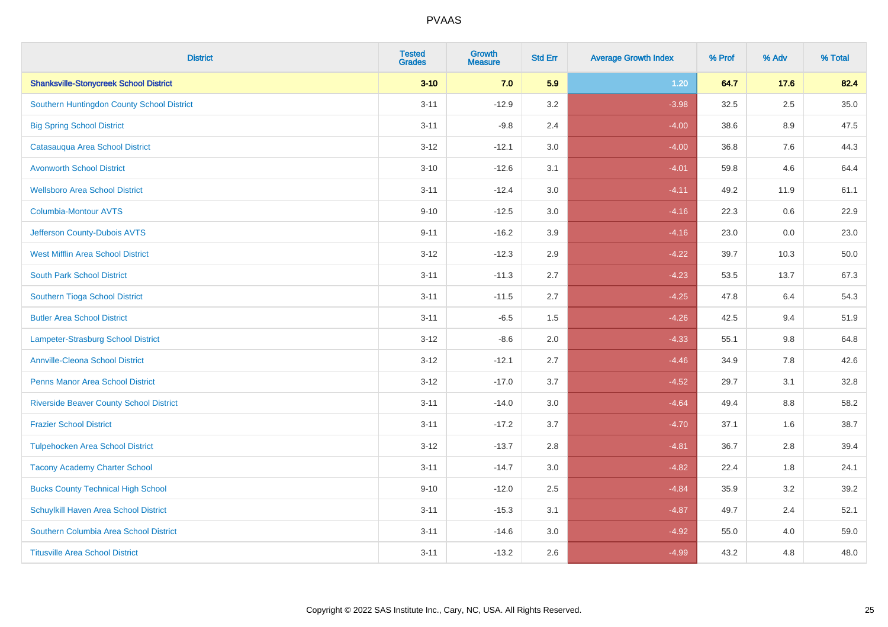| <b>District</b>                                | <b>Tested</b><br><b>Grades</b> | <b>Growth</b><br><b>Measure</b> | <b>Std Err</b> | <b>Average Growth Index</b> | % Prof | % Adv   | % Total |
|------------------------------------------------|--------------------------------|---------------------------------|----------------|-----------------------------|--------|---------|---------|
| <b>Shanksville-Stonycreek School District</b>  | $3 - 10$                       | 7.0                             | 5.9            | 1.20                        | 64.7   | 17.6    | 82.4    |
| Southern Huntingdon County School District     | $3 - 11$                       | $-12.9$                         | 3.2            | $-3.98$                     | 32.5   | $2.5\,$ | 35.0    |
| <b>Big Spring School District</b>              | $3 - 11$                       | $-9.8$                          | 2.4            | $-4.00$                     | 38.6   | 8.9     | 47.5    |
| Catasauqua Area School District                | $3 - 12$                       | $-12.1$                         | 3.0            | $-4.00$                     | 36.8   | 7.6     | 44.3    |
| <b>Avonworth School District</b>               | $3 - 10$                       | $-12.6$                         | 3.1            | $-4.01$                     | 59.8   | 4.6     | 64.4    |
| <b>Wellsboro Area School District</b>          | $3 - 11$                       | $-12.4$                         | 3.0            | $-4.11$                     | 49.2   | 11.9    | 61.1    |
| Columbia-Montour AVTS                          | $9 - 10$                       | $-12.5$                         | 3.0            | $-4.16$                     | 22.3   | 0.6     | 22.9    |
| Jefferson County-Dubois AVTS                   | $9 - 11$                       | $-16.2$                         | 3.9            | $-4.16$                     | 23.0   | 0.0     | 23.0    |
| <b>West Mifflin Area School District</b>       | $3 - 12$                       | $-12.3$                         | 2.9            | $-4.22$                     | 39.7   | 10.3    | 50.0    |
| <b>South Park School District</b>              | $3 - 11$                       | $-11.3$                         | 2.7            | $-4.23$                     | 53.5   | 13.7    | 67.3    |
| Southern Tioga School District                 | $3 - 11$                       | $-11.5$                         | 2.7            | $-4.25$                     | 47.8   | 6.4     | 54.3    |
| <b>Butler Area School District</b>             | $3 - 11$                       | $-6.5$                          | 1.5            | $-4.26$                     | 42.5   | 9.4     | 51.9    |
| Lampeter-Strasburg School District             | $3 - 12$                       | $-8.6$                          | 2.0            | $-4.33$                     | 55.1   | $9.8\,$ | 64.8    |
| <b>Annville-Cleona School District</b>         | $3 - 12$                       | $-12.1$                         | 2.7            | $-4.46$                     | 34.9   | $7.8\,$ | 42.6    |
| <b>Penns Manor Area School District</b>        | $3 - 12$                       | $-17.0$                         | 3.7            | $-4.52$                     | 29.7   | 3.1     | 32.8    |
| <b>Riverside Beaver County School District</b> | $3 - 11$                       | $-14.0$                         | 3.0            | $-4.64$                     | 49.4   | 8.8     | 58.2    |
| <b>Frazier School District</b>                 | $3 - 11$                       | $-17.2$                         | 3.7            | $-4.70$                     | 37.1   | 1.6     | 38.7    |
| <b>Tulpehocken Area School District</b>        | $3 - 12$                       | $-13.7$                         | 2.8            | $-4.81$                     | 36.7   | 2.8     | 39.4    |
| <b>Tacony Academy Charter School</b>           | $3 - 11$                       | $-14.7$                         | 3.0            | $-4.82$                     | 22.4   | 1.8     | 24.1    |
| <b>Bucks County Technical High School</b>      | $9 - 10$                       | $-12.0$                         | 2.5            | $-4.84$                     | 35.9   | 3.2     | 39.2    |
| Schuylkill Haven Area School District          | $3 - 11$                       | $-15.3$                         | 3.1            | $-4.87$                     | 49.7   | 2.4     | 52.1    |
| Southern Columbia Area School District         | $3 - 11$                       | $-14.6$                         | 3.0            | $-4.92$                     | 55.0   | 4.0     | 59.0    |
| <b>Titusville Area School District</b>         | $3 - 11$                       | $-13.2$                         | 2.6            | $-4.99$                     | 43.2   | 4.8     | 48.0    |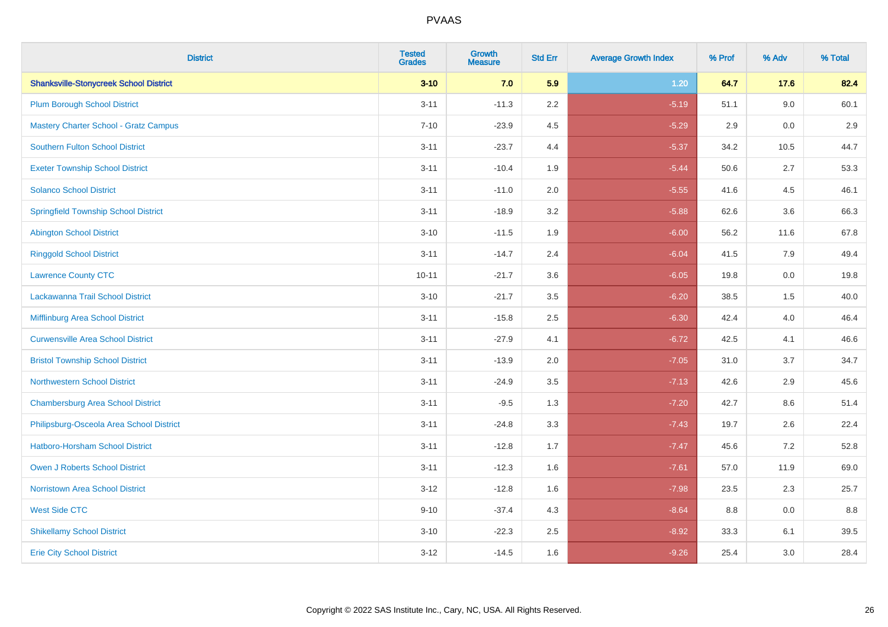| <b>District</b>                               | <b>Tested</b><br><b>Grades</b> | Growth<br><b>Measure</b> | <b>Std Err</b> | <b>Average Growth Index</b> | % Prof | % Adv   | % Total |
|-----------------------------------------------|--------------------------------|--------------------------|----------------|-----------------------------|--------|---------|---------|
| <b>Shanksville-Stonycreek School District</b> | $3 - 10$                       | 7.0                      | 5.9            | 1.20                        | 64.7   | 17.6    | 82.4    |
| <b>Plum Borough School District</b>           | $3 - 11$                       | $-11.3$                  | 2.2            | $-5.19$                     | 51.1   | 9.0     | 60.1    |
| <b>Mastery Charter School - Gratz Campus</b>  | $7 - 10$                       | $-23.9$                  | 4.5            | $-5.29$                     | 2.9    | $0.0\,$ | 2.9     |
| <b>Southern Fulton School District</b>        | $3 - 11$                       | $-23.7$                  | 4.4            | $-5.37$                     | 34.2   | 10.5    | 44.7    |
| <b>Exeter Township School District</b>        | $3 - 11$                       | $-10.4$                  | 1.9            | $-5.44$                     | 50.6   | 2.7     | 53.3    |
| <b>Solanco School District</b>                | $3 - 11$                       | $-11.0$                  | 2.0            | $-5.55$                     | 41.6   | 4.5     | 46.1    |
| <b>Springfield Township School District</b>   | $3 - 11$                       | $-18.9$                  | 3.2            | $-5.88$                     | 62.6   | 3.6     | 66.3    |
| <b>Abington School District</b>               | $3 - 10$                       | $-11.5$                  | 1.9            | $-6.00$                     | 56.2   | 11.6    | 67.8    |
| <b>Ringgold School District</b>               | $3 - 11$                       | $-14.7$                  | 2.4            | $-6.04$                     | 41.5   | 7.9     | 49.4    |
| <b>Lawrence County CTC</b>                    | $10 - 11$                      | $-21.7$                  | 3.6            | $-6.05$                     | 19.8   | 0.0     | 19.8    |
| Lackawanna Trail School District              | $3 - 10$                       | $-21.7$                  | 3.5            | $-6.20$                     | 38.5   | 1.5     | 40.0    |
| Mifflinburg Area School District              | $3 - 11$                       | $-15.8$                  | 2.5            | $-6.30$                     | 42.4   | 4.0     | 46.4    |
| <b>Curwensville Area School District</b>      | $3 - 11$                       | $-27.9$                  | 4.1            | $-6.72$                     | 42.5   | 4.1     | 46.6    |
| <b>Bristol Township School District</b>       | $3 - 11$                       | $-13.9$                  | 2.0            | $-7.05$                     | 31.0   | 3.7     | 34.7    |
| <b>Northwestern School District</b>           | $3 - 11$                       | $-24.9$                  | 3.5            | $-7.13$                     | 42.6   | 2.9     | 45.6    |
| <b>Chambersburg Area School District</b>      | $3 - 11$                       | $-9.5$                   | 1.3            | $-7.20$                     | 42.7   | $8.6\,$ | 51.4    |
| Philipsburg-Osceola Area School District      | $3 - 11$                       | $-24.8$                  | 3.3            | $-7.43$                     | 19.7   | 2.6     | 22.4    |
| <b>Hatboro-Horsham School District</b>        | $3 - 11$                       | $-12.8$                  | 1.7            | $-7.47$                     | 45.6   | 7.2     | 52.8    |
| Owen J Roberts School District                | $3 - 11$                       | $-12.3$                  | 1.6            | $-7.61$                     | 57.0   | 11.9    | 69.0    |
| <b>Norristown Area School District</b>        | $3 - 12$                       | $-12.8$                  | 1.6            | $-7.98$                     | 23.5   | 2.3     | 25.7    |
| <b>West Side CTC</b>                          | $9 - 10$                       | $-37.4$                  | 4.3            | $-8.64$                     | 8.8    | 0.0     | 8.8     |
| <b>Shikellamy School District</b>             | $3 - 10$                       | $-22.3$                  | 2.5            | $-8.92$                     | 33.3   | 6.1     | 39.5    |
| <b>Erie City School District</b>              | $3 - 12$                       | $-14.5$                  | 1.6            | $-9.26$                     | 25.4   | 3.0     | 28.4    |